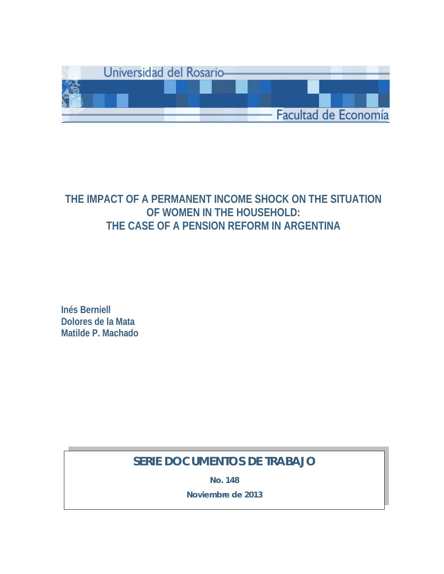

# **THE IMPACT OF A PERMANENT INCOME SHOCK ON THE SITUATION OF WOMEN IN THE HOUSEHOLD: THE CASE OF A PENSION REFORM IN ARGENTINA**

**Inés Berniell Dolores de la Mata Matilde P. Machado**

# **SERIE DOCUMENTOS DE TRABAJO**

**No. 148**

**Noviembre de 2013**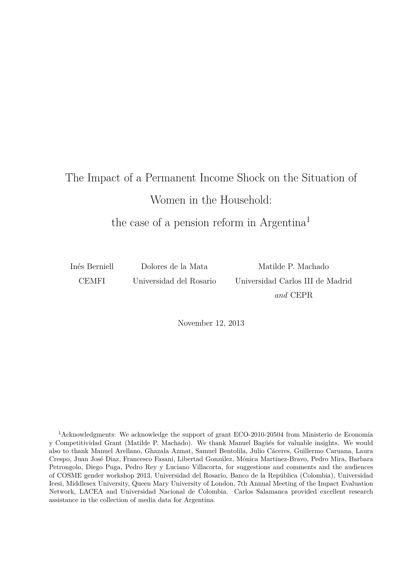# The Impact of a Permanent Income Shock on the Situation of Women in the Household:

the case of a pension reform in Argentina<sup>1</sup>

Inés Berniell CEMFI

Dolores de la Mata Universidad del Rosario

Matilde P. Machado Universidad Carlos III de Madrid *and* CEPR

November 12, 2013

<sup>1</sup>Acknowledgments: We acknowledge the support of grant ECO-2010-20504 from Ministerio de Economía y Competitividad Grant (Matilde P. Machado). We thank Manuel Bagüés for valuable insights. We would also to thank Manuel Arellano, Ghazala Azmat, Samuel Bentolila, Julio Cáceres, Guillermo Caruana, Laura Crespo, Juan José Diaz, Francesco Fasani, Libertad González, Mónica Martinez-Bravo, Pedro Mira, Barbara Petrongolo, Diego Puga, Pedro Rey y Luciano Villacorta, for suggestions and comments and the audiences of COSME gender workshop 2013, Universidad del Rosario, Banco de la República (Colombia), Universidad Icesi, Middlesex University, Queen Mary University of London, 7th Annual Meeting of the Impact Evaluation Network, LACEA and Universidad Nacional de Colombia. Carlos Salamanca provided excellent research assistance in the collection of media data for Argentina.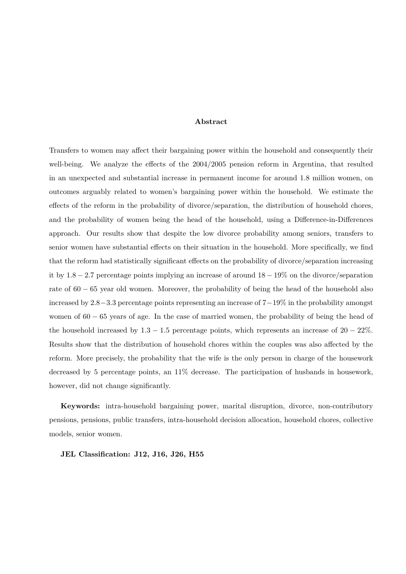#### **Abstract**

Transfers to women may affect their bargaining power within the household and consequently their well-being. We analyze the effects of the 2004*/*2005 pension reform in Argentina, that resulted in an unexpected and substantial increase in permanent income for around 1*.*8 million women, on outcomes arguably related to women's bargaining power within the household. We estimate the effects of the reform in the probability of divorce/separation, the distribution of household chores, and the probability of women being the head of the household, using a Difference-in-Differences approach. Our results show that despite the low divorce probability among seniors, transfers to senior women have substantial effects on their situation in the household. More specifically, we find that the reform had statistically significant effects on the probability of divorce/separation increasing it by 1*.*8 − 2*.*7 percentage points implying an increase of around 18 − 19% on the divorce/separation rate of 60 − 65 year old women. Moreover, the probability of being the head of the household also increased by 2*.*8−3*.*3 percentage points representing an increase of 7−19% in the probability amongst women of 60 − 65 years of age. In the case of married women, the probability of being the head of the household increased by  $1.3 - 1.5$  percentage points, which represents an increase of  $20 - 22\%$ . Results show that the distribution of household chores within the couples was also affected by the reform. More precisely, the probability that the wife is the only person in charge of the housework decreased by 5 percentage points, an 11% decrease. The participation of husbands in housework, however, did not change significantly.

**Keywords:** intra-household bargaining power, marital disruption, divorce, non-contributory pensions, pensions, public transfers, intra-household decision allocation, household chores, collective models, senior women.

**JEL Classification: J12, J16, J26, H55**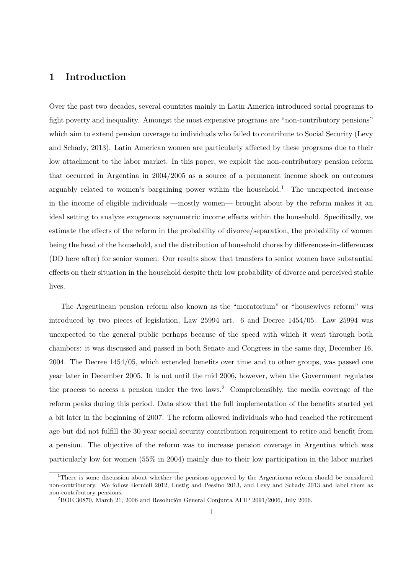# **1 Introduction**

Over the past two decades, several countries mainly in Latin America introduced social programs to fight poverty and inequality. Amongst the most expensive programs are "non-contributory pensions" which aim to extend pension coverage to individuals who failed to contribute to Social Security (Levy and Schady, 2013). Latin American women are particularly affected by these programs due to their low attachment to the labor market. In this paper, we exploit the non-contributory pension reform that occurred in Argentina in 2004*/*2005 as a source of a permanent income shock on outcomes arguably related to women's bargaining power within the household.<sup>1</sup> The unexpected increase in the income of eligible individuals —mostly women— brought about by the reform makes it an ideal setting to analyze exogenous asymmetric income effects within the household. Specifically, we estimate the effects of the reform in the probability of divorce/separation, the probability of women being the head of the household, and the distribution of household chores by differences-in-differences (DD here after) for senior women. Our results show that transfers to senior women have substantial effects on their situation in the household despite their low probability of divorce and perceived stable lives.

The Argentinean pension reform also known as the "moratorium" or "housewives reform" was introduced by two pieces of legislation, Law 25994 art. 6 and Decree 1454*/*05. Law 25994 was unexpected to the general public perhaps because of the speed with which it went through both chambers: it was discussed and passed in both Senate and Congress in the same day, December 16, 2004. The Decree 1454*/*05, which extended benefits over time and to other groups, was passed one year later in December 2005. It is not until the mid 2006, however, when the Government regulates the process to access a pension under the two laws.<sup>2</sup> Comprehensibly, the media coverage of the reform peaks during this period. Data show that the full implementation of the benefits started yet a bit later in the beginning of 2007. The reform allowed individuals who had reached the retirement age but did not fulfill the 30-year social security contribution requirement to retire and benefit from a pension. The objective of the reform was to increase pension coverage in Argentina which was particularly low for women (55% in 2004) mainly due to their low participation in the labor market

<sup>&</sup>lt;sup>1</sup>There is some discussion about whether the pensions approved by the Argentinean reform should be considered non-contributory. We follow Berniell 2012, Lustig and Pessino 2013, and Levy and Schady 2013 and label them as non-contributory pensions.

 ${}^{2}$ BOE 30870, March 21, 2006 and Resolución General Conjunta AFIP 2091/2006, July 2006.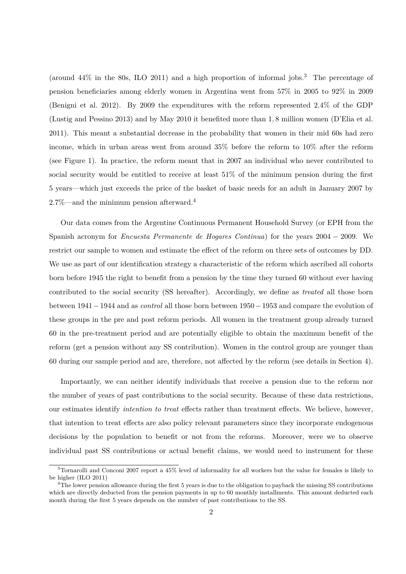(around  $44\%$  in the 80s, ILO 2011) and a high proportion of informal jobs.<sup>3</sup> The percentage of pension beneficiaries among elderly women in Argentina went from 57% in 2005 to 92% in 2009 (Benigni et al. 2012). By 2009 the expenditures with the reform represented 2*.*4% of the GDP (Lustig and Pessino 2013) and by May 2010 it benefited more than 1*,* 8 million women (D'Elia et al. 2011). This meant a substantial decrease in the probability that women in their mid 60s had zero income, which in urban areas went from around 35% before the reform to 10% after the reform (see Figure 1). In practice, the reform meant that in 2007 an individual who never contributed to social security would be entitled to receive at least 51% of the minimum pension during the first 5 years—which just exceeds the price of the basket of basic needs for an adult in January 2007 by 2.7%—and the minimum pension afterward. 4

Our data comes from the Argentine Continuous Permanent Household Survey (or EPH from the Spanish acronym for *Encuesta Permanente de Hogares Continua*) for the years 2004 − 2009. We restrict our sample to women and estimate the effect of the reform on three sets of outcomes by DD. We use as part of our identification strategy a characteristic of the reform which ascribed all cohorts born before 1945 the right to benefit from a pension by the time they turned 60 without ever having contributed to the social security (SS hereafter). Accordingly, we define as *treated* all those born between 1941−1944 and as *control* all those born between 1950−1953 and compare the evolution of these groups in the pre and post reform periods. All women in the treatment group already turned 60 in the pre-treatment period and are potentially eligible to obtain the maximum benefit of the reform (get a pension without any SS contribution). Women in the control group are younger than 60 during our sample period and are, therefore, not affected by the reform (see details in Section 4).

Importantly, we can neither identify individuals that receive a pension due to the reform nor the number of years of past contributions to the social security. Because of these data restrictions, our estimates identify *intention to treat* effects rather than treatment effects. We believe, however, that intention to treat effects are also policy relevant parameters since they incorporate endogenous decisions by the population to benefit or not from the reforms. Moreover, were we to observe individual past SS contributions or actual benefit claims, we would need to instrument for these

<sup>3</sup>Tornarolli and Conconi 2007 report a 45% level of informality for all workers but the value for females is likely to be higher (ILO 2011)

<sup>&</sup>lt;sup>4</sup>The lower pension allowance during the first 5 years is due to the obligation to payback the missing SS contributions which are directly deducted from the pension payments in up to 60 monthly installments. This amount deducted each month during the first 5 years depends on the number of past contributions to the SS.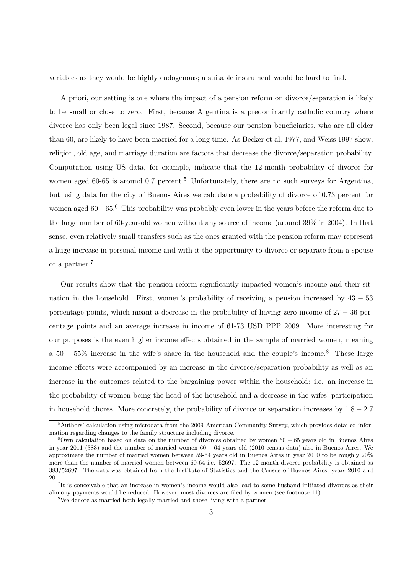variables as they would be highly endogenous; a suitable instrument would be hard to find.

A priori, our setting is one where the impact of a pension reform on divorce/separation is likely to be small or close to zero. First, because Argentina is a predominantly catholic country where divorce has only been legal since 1987. Second, because our pension beneficiaries, who are all older than 60, are likely to have been married for a long time. As Becker et al. 1977, and Weiss 1997 show, religion, old age, and marriage duration are factors that decrease the divorce/separation probability. Computation using US data, for example, indicate that the 12-month probability of divorce for women aged 60-65 is around 0.7 percent.<sup>5</sup> Unfortunately, there are no such surveys for Argentina, but using data for the city of Buenos Aires we calculate a probability of divorce of 0.73 percent for women aged 60 – 65.<sup>6</sup> This probability was probably even lower in the years before the reform due to the large number of 60-year-old women without any source of income (around 39% in 2004). In that sense, even relatively small transfers such as the ones granted with the pension reform may represent a huge increase in personal income and with it the opportunity to divorce or separate from a spouse or a partner.<sup>7</sup>

Our results show that the pension reform significantly impacted women's income and their situation in the household. First, women's probability of receiving a pension increased by  $43 - 53$ percentage points, which meant a decrease in the probability of having zero income of  $27 - 36$  percentage points and an average increase in income of 61-73 USD PPP 2009. More interesting for our purposes is the even higher income effects obtained in the sample of married women, meaning a 50 − 55% increase in the wife's share in the household and the couple's income.<sup>8</sup> These large income effects were accompanied by an increase in the divorce/separation probability as well as an increase in the outcomes related to the bargaining power within the household: i.e. an increase in the probability of women being the head of the household and a decrease in the wifes' participation in household chores. More concretely, the probability of divorce or separation increases by 1*.*8 − 2*.*7

<sup>5</sup>Authors' calculation using microdata from the 2009 American Community Survey, which provides detailed information regarding changes to the family structure including divorce.

 $6$ Own calculation based on data on the number of divorces obtained by women 60 − 65 years old in Buenos Aires in year 2011 (383) and the number of married women 60 − 64 years old (2010 census data) also in Buenos Aires. We approximate the number of married women between 59-64 years old in Buenos Aires in year 2010 to be roughly 20% more than the number of married women between 60-64 i.e. 52697. The 12 month divorce probability is obtained as 383/52697. The data was obtained from the Institute of Statistics and the Census of Buenos Aires, years 2010 and 2011.

<sup>7</sup> It is conceivable that an increase in women's income would also lead to some husband-initiated divorces as their alimony payments would be reduced. However, most divorces are filed by women (see footnote 11).

<sup>8</sup>We denote as married both legally married and those living with a partner.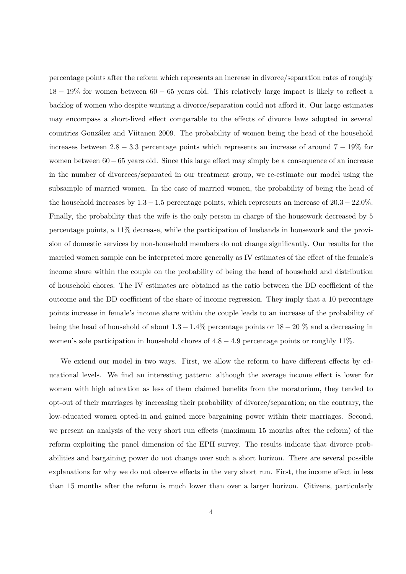percentage points after the reform which represents an increase in divorce/separation rates of roughly 18 − 19% for women between 60 − 65 years old. This relatively large impact is likely to reflect a backlog of women who despite wanting a divorce/separation could not afford it. Our large estimates may encompass a short-lived effect comparable to the effects of divorce laws adopted in several countries González and Viitanen 2009. The probability of women being the head of the household increases between 2*.*8 − 3*.*3 percentage points which represents an increase of around 7 − 19% for women between 60−65 years old. Since this large effect may simply be a consequence of an increase in the number of divorcees/separated in our treatment group, we re-estimate our model using the subsample of married women. In the case of married women, the probability of being the head of the household increases by 1*.*3 − 1*.*5 percentage points, which represents an increase of 20*.*3 − 22*.*0%. Finally, the probability that the wife is the only person in charge of the housework decreased by 5 percentage points, a 11% decrease, while the participation of husbands in housework and the provision of domestic services by non-household members do not change significantly. Our results for the married women sample can be interpreted more generally as IV estimates of the effect of the female's income share within the couple on the probability of being the head of household and distribution of household chores. The IV estimates are obtained as the ratio between the DD coefficient of the outcome and the DD coefficient of the share of income regression. They imply that a 10 percentage points increase in female's income share within the couple leads to an increase of the probability of being the head of household of about 1*.*3 − 1*.*4% percentage points or 18 − 20 % and a decreasing in women's sole participation in household chores of 4*.*8 − 4*.*9 percentage points or roughly 11%.

We extend our model in two ways. First, we allow the reform to have different effects by educational levels. We find an interesting pattern: although the average income effect is lower for women with high education as less of them claimed benefits from the moratorium, they tended to opt-out of their marriages by increasing their probability of divorce/separation; on the contrary, the low-educated women opted-in and gained more bargaining power within their marriages. Second, we present an analysis of the very short run effects (maximum 15 months after the reform) of the reform exploiting the panel dimension of the EPH survey. The results indicate that divorce probabilities and bargaining power do not change over such a short horizon. There are several possible explanations for why we do not observe effects in the very short run. First, the income effect in less than 15 months after the reform is much lower than over a larger horizon. Citizens, particularly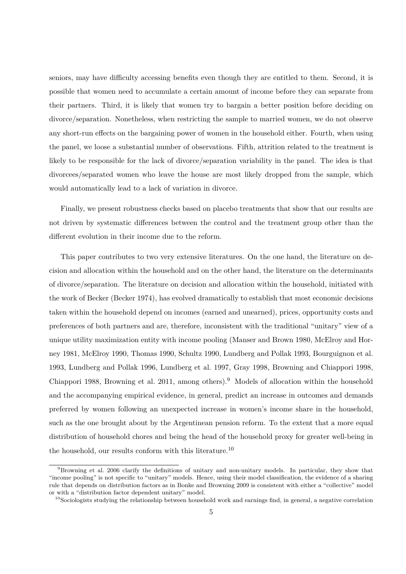seniors, may have difficulty accessing benefits even though they are entitled to them. Second, it is possible that women need to accumulate a certain amount of income before they can separate from their partners. Third, it is likely that women try to bargain a better position before deciding on divorce/separation. Nonetheless, when restricting the sample to married women, we do not observe any short-run effects on the bargaining power of women in the household either. Fourth, when using the panel, we loose a substantial number of observations. Fifth, attrition related to the treatment is likely to be responsible for the lack of divorce/separation variability in the panel. The idea is that divorcees/separated women who leave the house are most likely dropped from the sample, which would automatically lead to a lack of variation in divorce.

Finally, we present robustness checks based on placebo treatments that show that our results are not driven by systematic differences between the control and the treatment group other than the different evolution in their income due to the reform.

This paper contributes to two very extensive literatures. On the one hand, the literature on decision and allocation within the household and on the other hand, the literature on the determinants of divorce/separation. The literature on decision and allocation within the household, initiated with the work of Becker (Becker 1974), has evolved dramatically to establish that most economic decisions taken within the household depend on incomes (earned and unearned), prices, opportunity costs and preferences of both partners and are, therefore, inconsistent with the traditional "unitary" view of a unique utility maximization entity with income pooling (Manser and Brown 1980, McElroy and Horney 1981, McElroy 1990, Thomas 1990, Schultz 1990, Lundberg and Pollak 1993, Bourguignon et al. 1993, Lundberg and Pollak 1996, Lundberg et al. 1997, Gray 1998, Browning and Chiappori 1998, Chiappori 1988, Browning et al. 2011, among others).<sup>9</sup> Models of allocation within the household and the accompanying empirical evidence, in general, predict an increase in outcomes and demands preferred by women following an unexpected increase in women's income share in the household, such as the one brought about by the Argentinean pension reform. To the extent that a more equal distribution of household chores and being the head of the household proxy for greater well-being in the household, our results conform with this literature.<sup>10</sup>

<sup>9</sup>Browning et al. 2006 clarify the definitions of unitary and non-unitary models. In particular, they show that "income pooling" is not specific to "unitary" models. Hence, using their model classification, the evidence of a sharing rule that depends on distribution factors as in Bonke and Browning 2009 is consistent with either a "collective" model or with a "distribution factor dependent unitary" model.

 $10$ Sociologists studying the relationship between household work and earnings find, in general, a negative correlation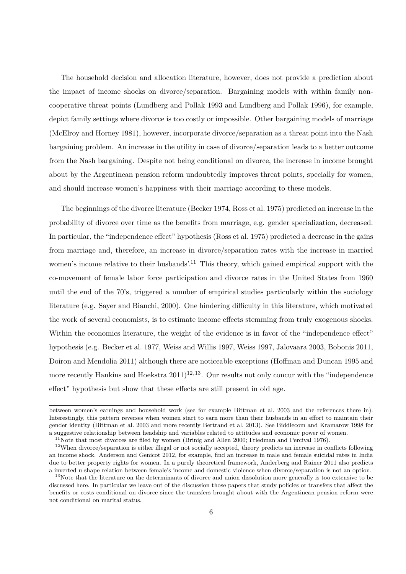The household decision and allocation literature, however, does not provide a prediction about the impact of income shocks on divorce/separation. Bargaining models with within family noncooperative threat points (Lundberg and Pollak 1993 and Lundberg and Pollak 1996), for example, depict family settings where divorce is too costly or impossible. Other bargaining models of marriage (McElroy and Horney 1981), however, incorporate divorce/separation as a threat point into the Nash bargaining problem. An increase in the utility in case of divorce/separation leads to a better outcome from the Nash bargaining. Despite not being conditional on divorce, the increase in income brought about by the Argentinean pension reform undoubtedly improves threat points, specially for women, and should increase women's happiness with their marriage according to these models.

The beginnings of the divorce literature (Becker 1974, Ross et al. 1975) predicted an increase in the probability of divorce over time as the benefits from marriage, e.g. gender specialization, decreased. In particular, the "independence effect" hypothesis (Ross et al. 1975) predicted a decrease in the gains from marriage and, therefore, an increase in divorce/separation rates with the increase in married women's income relative to their husbands'.<sup>11</sup> This theory, which gained empirical support with the co-movement of female labor force participation and divorce rates in the United States from 1960 until the end of the 70's, triggered a number of empirical studies particularly within the sociology literature (e.g. Sayer and Bianchi, 2000). One hindering difficulty in this literature, which motivated the work of several economists, is to estimate income effects stemming from truly exogenous shocks. Within the economics literature, the weight of the evidence is in favor of the "independence effect" hypothesis (e.g. Becker et al. 1977, Weiss and Willis 1997, Weiss 1997, Jalovaara 2003, Bobonis 2011, Doiron and Mendolia 2011) although there are noticeable exceptions (Hoffman and Duncan 1995 and more recently Hankins and Hoekstra  $2011$ <sup>12,13</sup>. Our results not only concur with the "independence" effect" hypothesis but show that these effects are still present in old age.

between women's earnings and household work (see for example Bittman et al. 2003 and the references there in). Interestingly, this pattern reverses when women start to earn more than their husbands in an effort to maintain their gender identity (Bittman et al. 2003 and more recently Bertrand et al. 2013). See Biddlecom and Kramarow 1998 for a suggestive relationship between headship and variables related to attitudes and economic power of women.

 $11$ Note that most divorces are filed by women (Brinig and Allen 2000; Friedman and Percival 1976).

<sup>&</sup>lt;sup>12</sup>When divorce/separation is either illegal or not socially accepted, theory predicts an increase in conflicts following an income shock. Anderson and Genicot 2012, for example, find an increase in male and female suicidal rates in India due to better property rights for women. In a purely theoretical framework, Anderberg and Rainer 2011 also predicts a inverted u-shape relation between female's income and domestic violence when divorce/separation is not an option.

 $13$ Note that the literature on the determinants of divorce and union dissolution more generally is too extensive to be discussed here. In particular we leave out of the discussion those papers that study policies or transfers that affect the benefits or costs conditional on divorce since the transfers brought about with the Argentinean pension reform were not conditional on marital status.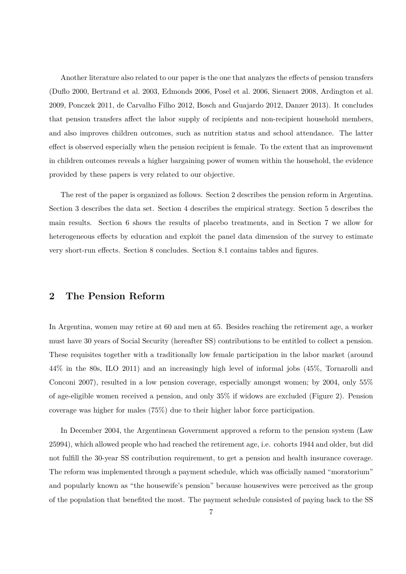Another literature also related to our paper is the one that analyzes the effects of pension transfers (Duflo 2000, Bertrand et al. 2003, Edmonds 2006, Posel et al. 2006, Sienaert 2008, Ardington et al. 2009, Ponczek 2011, de Carvalho Filho 2012, Bosch and Guajardo 2012, Danzer 2013). It concludes that pension transfers affect the labor supply of recipients and non-recipient household members, and also improves children outcomes, such as nutrition status and school attendance. The latter effect is observed especially when the pension recipient is female. To the extent that an improvement in children outcomes reveals a higher bargaining power of women within the household, the evidence provided by these papers is very related to our objective.

The rest of the paper is organized as follows. Section 2 describes the pension reform in Argentina. Section 3 describes the data set. Section 4 describes the empirical strategy. Section 5 describes the main results. Section 6 shows the results of placebo treatments, and in Section 7 we allow for heterogeneous effects by education and exploit the panel data dimension of the survey to estimate very short-run effects. Section 8 concludes. Section 8.1 contains tables and figures.

# **2 The Pension Reform**

In Argentina, women may retire at 60 and men at 65. Besides reaching the retirement age, a worker must have 30 years of Social Security (hereafter SS) contributions to be entitled to collect a pension. These requisites together with a traditionally low female participation in the labor market (around 44% in the 80s, ILO 2011) and an increasingly high level of informal jobs (45%, Tornarolli and Conconi 2007), resulted in a low pension coverage, especially amongst women; by 2004, only 55% of age-eligible women received a pension, and only 35% if widows are excluded (Figure 2). Pension coverage was higher for males (75%) due to their higher labor force participation.

In December 2004, the Argentinean Government approved a reform to the pension system (Law 25994), which allowed people who had reached the retirement age, i.e. cohorts 1944 and older, but did not fulfill the 30-year SS contribution requirement, to get a pension and health insurance coverage. The reform was implemented through a payment schedule, which was officially named "moratorium" and popularly known as "the housewife's pension" because housewives were perceived as the group of the population that benefited the most. The payment schedule consisted of paying back to the SS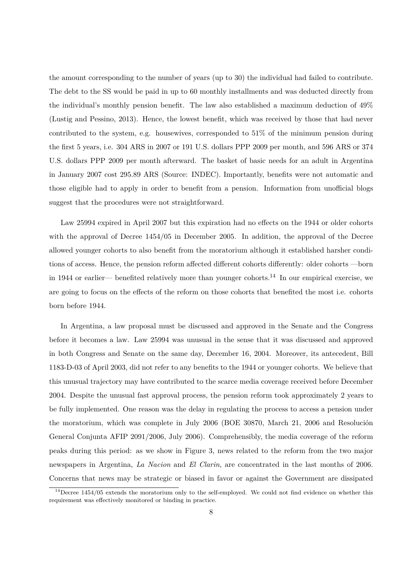the amount corresponding to the number of years (up to 30) the individual had failed to contribute. The debt to the SS would be paid in up to 60 monthly installments and was deducted directly from the individual's monthly pension benefit. The law also established a maximum deduction of 49% (Lustig and Pessino, 2013). Hence, the lowest benefit, which was received by those that had never contributed to the system, e.g. housewives, corresponded to 51% of the minimum pension during the first 5 years, i.e. 304 ARS in 2007 or 191 U.S. dollars PPP 2009 per month, and 596 ARS or 374 U.S. dollars PPP 2009 per month afterward. The basket of basic needs for an adult in Argentina in January 2007 cost 295.89 ARS (Source: INDEC). Importantly, benefits were not automatic and those eligible had to apply in order to benefit from a pension. Information from unofficial blogs suggest that the procedures were not straightforward.

Law 25994 expired in April 2007 but this expiration had no effects on the 1944 or older cohorts with the approval of Decree 1454/05 in December 2005. In addition, the approval of the Decree allowed younger cohorts to also benefit from the moratorium although it established harsher conditions of access. Hence, the pension reform affected different cohorts differently: older cohorts —born in 1944 or earlier— benefited relatively more than younger cohorts.<sup>14</sup> In our empirical exercise, we are going to focus on the effects of the reform on those cohorts that benefited the most i.e. cohorts born before 1944.

In Argentina, a law proposal must be discussed and approved in the Senate and the Congress before it becomes a law. Law 25994 was unusual in the sense that it was discussed and approved in both Congress and Senate on the same day, December 16, 2004. Moreover, its antecedent, Bill 1183-D-03 of April 2003, did not refer to any benefits to the 1944 or younger cohorts. We believe that this unusual trajectory may have contributed to the scarce media coverage received before December 2004. Despite the unusual fast approval process, the pension reform took approximately 2 years to be fully implemented. One reason was the delay in regulating the process to access a pension under the moratorium, which was complete in July 2006 (BOE 30870, March 21, 2006 and Resolución General Conjunta AFIP 2091/2006, July 2006). Comprehensibly, the media coverage of the reform peaks during this period: as we show in Figure 3, news related to the reform from the two major newspapers in Argentina, *La Nacion* and *El Clarin*, are concentrated in the last months of 2006. Concerns that news may be strategic or biased in favor or against the Government are dissipated

<sup>&</sup>lt;sup>14</sup>Decree 1454/05 extends the moratorium only to the self-employed. We could not find evidence on whether this requirement was effectively monitored or binding in practice.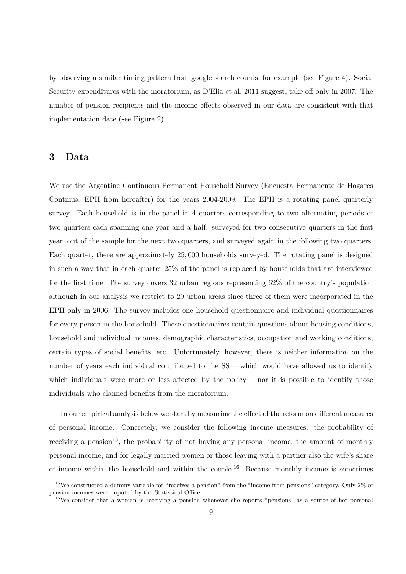by observing a similar timing pattern from google search counts, for example (see Figure 4). Social Security expenditures with the moratorium, as D'Elia et al. 2011 suggest, take off only in 2007. The number of pension recipients and the income effects observed in our data are consistent with that implementation date (see Figure 2).

# **3 Data**

We use the Argentine Continuous Permanent Household Survey (Encuesta Permanente de Hogares Continua, EPH from hereafter) for the years 2004-2009. The EPH is a rotating panel quarterly survey. Each household is in the panel in 4 quarters corresponding to two alternating periods of two quarters each spanning one year and a half: surveyed for two consecutive quarters in the first year, out of the sample for the next two quarters, and surveyed again in the following two quarters. Each quarter, there are approximately 25*,* 000 households surveyed. The rotating panel is designed in such a way that in each quarter 25% of the panel is replaced by households that are interviewed for the first time. The survey covers 32 urban regions representing 62% of the country's population although in our analysis we restrict to 29 urban areas since three of them were incorporated in the EPH only in 2006. The survey includes one household questionnaire and individual questionnaires for every person in the household. These questionnaires contain questions about housing conditions, household and individual incomes, demographic characteristics, occupation and working conditions, certain types of social benefits, etc. Unfortunately, however, there is neither information on the number of years each individual contributed to the SS —which would have allowed us to identify which individuals were more or less affected by the policy— nor it is possible to identify those individuals who claimed benefits from the moratorium.

In our empirical analysis below we start by measuring the effect of the reform on different measures of personal income. Concretely, we consider the following income measures: the probability of receiving a pension<sup>15</sup>, the probability of not having any personal income, the amount of monthly personal income, and for legally married women or those leaving with a partner also the wife's share of income within the household and within the couple.<sup>16</sup> Because monthly income is sometimes

<sup>&</sup>lt;sup>15</sup>We constructed a dummy variable for "receives a pension" from the "income from pensions" category. Only 2% of pension incomes were imputed by the Statistical Office.

<sup>16</sup>We consider that a woman is receiving a pension whenever she reports "pensions" as a source of her personal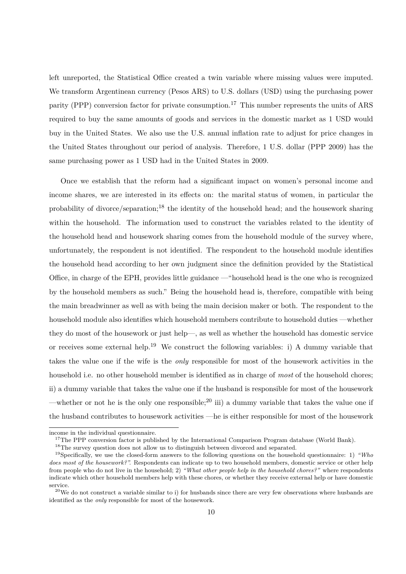left unreported, the Statistical Office created a twin variable where missing values were imputed. We transform Argentinean currency (Pesos ARS) to U.S. dollars (USD) using the purchasing power parity (PPP) conversion factor for private consumption.<sup>17</sup> This number represents the units of ARS required to buy the same amounts of goods and services in the domestic market as 1 USD would buy in the United States. We also use the U.S. annual inflation rate to adjust for price changes in the United States throughout our period of analysis. Therefore, 1 U.S. dollar (PPP 2009) has the same purchasing power as 1 USD had in the United States in 2009.

Once we establish that the reform had a significant impact on women's personal income and income shares, we are interested in its effects on: the marital status of women, in particular the probability of divorce/separation;<sup>18</sup> the identity of the household head; and the housework sharing within the household. The information used to construct the variables related to the identity of the household head and housework sharing comes from the household module of the survey where, unfortunately, the respondent is not identified. The respondent to the household module identifies the household head according to her own judgment since the definition provided by the Statistical Office, in charge of the EPH, provides little guidance —"household head is the one who is recognized by the household members as such." Being the household head is, therefore, compatible with being the main breadwinner as well as with being the main decision maker or both. The respondent to the household module also identifies which household members contribute to household duties —whether they do most of the housework or just help—, as well as whether the household has domestic service or receives some external help.<sup>19</sup> We construct the following variables: i) A dummy variable that takes the value one if the wife is the *only* responsible for most of the housework activities in the household i.e. no other household member is identified as in charge of *most* of the household chores; ii) a dummy variable that takes the value one if the husband is responsible for most of the housework —whether or not he is the only one responsible;<sup>20</sup> iii) a dummy variable that takes the value one if the husband contributes to housework activities —he is either responsible for most of the housework

income in the individual questionnaire.

<sup>&</sup>lt;sup>17</sup>The PPP conversion factor is published by the International Comparison Program database (World Bank).

<sup>&</sup>lt;sup>18</sup>The survey question does not allow us to distinguish between divorced and separated.

<sup>19</sup>Specifically, we use the closed-form answers to the following questions on the household questionnaire: 1) *"Who does most of the housework?".* Respondents can indicate up to two household members, domestic service or other help from people who do not live in the household; 2) *"What other people help in the household chores?"* where respondents indicate which other household members help with these chores, or whether they receive external help or have domestic service.

 $^{20}$ We do not construct a variable similar to i) for husbands since there are very few observations where husbands are identified as the *only* responsible for most of the housework.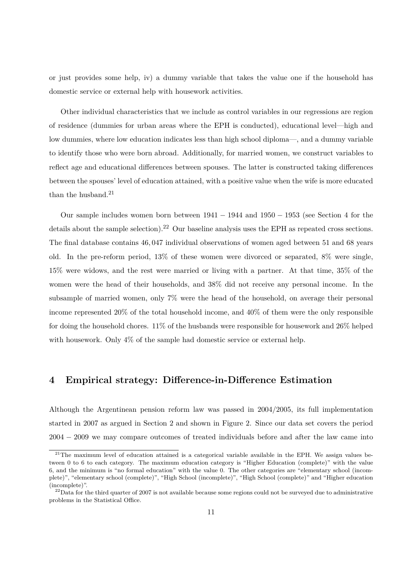or just provides some help, iv) a dummy variable that takes the value one if the household has domestic service or external help with housework activities.

Other individual characteristics that we include as control variables in our regressions are region of residence (dummies for urban areas where the EPH is conducted), educational level—high and low dummies, where low education indicates less than high school diploma—, and a dummy variable to identify those who were born abroad. Additionally, for married women, we construct variables to reflect age and educational differences between spouses. The latter is constructed taking differences between the spouses' level of education attained, with a positive value when the wife is more educated than the husband. $21$ 

Our sample includes women born between  $1941 - 1944$  and  $1950 - 1953$  (see Section 4 for the details about the sample selection).<sup>22</sup> Our baseline analysis uses the EPH as repeated cross sections. The final database contains 46*,* 047 individual observations of women aged between 51 and 68 years old. In the pre-reform period, 13% of these women were divorced or separated, 8% were single, 15% were widows, and the rest were married or living with a partner. At that time, 35% of the women were the head of their households, and 38% did not receive any personal income. In the subsample of married women, only 7% were the head of the household, on average their personal income represented 20% of the total household income, and 40% of them were the only responsible for doing the household chores. 11% of the husbands were responsible for housework and 26% helped with housework. Only 4% of the sample had domestic service or external help.

## **4 Empirical strategy: Difference-in-Difference Estimation**

Although the Argentinean pension reform law was passed in 2004*/*2005, its full implementation started in 2007 as argued in Section 2 and shown in Figure 2. Since our data set covers the period 2004 − 2009 we may compare outcomes of treated individuals before and after the law came into

<sup>&</sup>lt;sup>21</sup>The maximum level of education attained is a categorical variable available in the EPH. We assign values between 0 to 6 to each category. The maximum education category is "Higher Education (complete)" with the value 6, and the minimum is "no formal education" with the value 0. The other categories are "elementary school (incomplete)", "elementary school (complete)", "High School (incomplete)", "High School (complete)" and "Higher education (incomplete)".

 $22$ Data for the third quarter of 2007 is not available because some regions could not be surveyed due to administrative problems in the Statistical Office.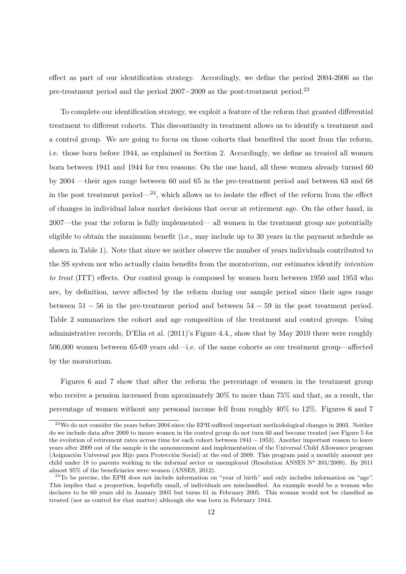effect as part of our identification strategy. Accordingly, we define the period 2004-2006 as the pre-treatment period and the period 2007−2009 as the post-treatment period.<sup>23</sup>

To complete our identification strategy, we exploit a feature of the reform that granted differential treatment to different cohorts. This discontinuity in treatment allows us to identify a treatment and a control group. We are going to focus on those cohorts that benefited the most from the reform, i.e. those born before 1944, as explained in Section 2. Accordingly, we define as treated all women born between 1941 and 1944 for two reasons: On the one hand, all these women already turned 60 by 2004 —their ages range between 60 and 65 in the pre-treatment period and between 63 and 68 in the post treatment period— $^{24}$ , which allows us to isolate the effect of the reform from the effect of changes in individual labor market decisions that occur at retirement age. On the other hand, in 2007—the year the reform is fully implemented— all women in the treatment group are potentially eligible to obtain the maximum benefit (i.e., may include up to 30 years in the payment schedule as shown in Table 1). Note that since we neither observe the number of years individuals contributed to the SS system nor who actually claim benefits from the moratorium, our estimates identify *intention to treat* (ITT) effects. Our control group is composed by women born between 1950 and 1953 who are, by definition, never affected by the reform during our sample period since their ages range between  $51 - 56$  in the pre-treatment period and between  $54 - 59$  in the post treatment period. Table 2 summarizes the cohort and age composition of the treatment and control groups. Using administrative records, D'Elia et al. (2011)'s Figure 4.4., show that by May 2010 there were roughly 506,000 women between 65-69 years old—i.e. of the same cohorts as our treatment group—affected by the moratorium.

Figures 6 and 7 show that after the reform the percentage of women in the treatment group who receive a pension increased from aproximately 30% to more than 75% and that, as a result, the percentage of women without any personal income fell from roughly 40% to 12%. Figures 6 and 7

<sup>&</sup>lt;sup>23</sup>We do not consider the years before 2004 since the EPH suffered important methodological changes in 2003. Neither do we include data after 2009 to insure women in the control group do not turn 60 and become treated (see Figure 5 for the evolution of retirement rates across time for each cohort between 1941 − 1953). Another important reason to leave years after 2009 out of the sample is the announcement and implementation of the Universal Child Allowance program (Asignación Universal por Hijo para Protección Social) at the end of 2009. This program paid a monthly amount per child under 18 to parents working in the informal sector or unemployed (Resolution ANSES Nº 393/2009). By 2011 almost 95% of the beneficiaries were women (ANSES, 2012).

<sup>&</sup>lt;sup>24</sup>To be precise, the EPH does not include information on "year of birth" and only includes information on "age". This implies that a proportion, hopefully small, of individuals are misclassified. An example would be a woman who declares to be 60 years old in January 2005 but turns 61 in February 2005. This woman would not be classified as treated (nor as control for that matter) although she was born in February 1944.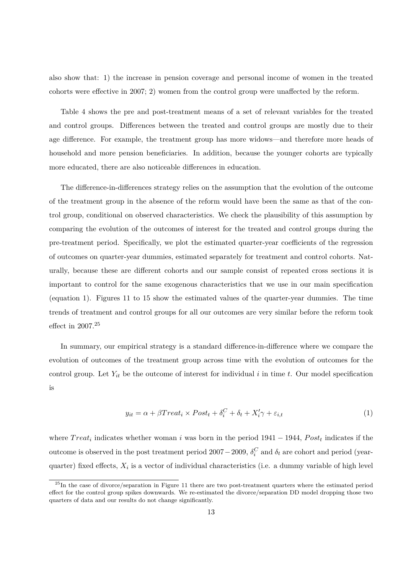also show that: 1) the increase in pension coverage and personal income of women in the treated cohorts were effective in 2007; 2) women from the control group were unaffected by the reform.

Table 4 shows the pre and post-treatment means of a set of relevant variables for the treated and control groups. Differences between the treated and control groups are mostly due to their age difference. For example, the treatment group has more widows—and therefore more heads of household and more pension beneficiaries. In addition, because the younger cohorts are typically more educated, there are also noticeable differences in education.

The difference-in-differences strategy relies on the assumption that the evolution of the outcome of the treatment group in the absence of the reform would have been the same as that of the control group, conditional on observed characteristics. We check the plausibility of this assumption by comparing the evolution of the outcomes of interest for the treated and control groups during the pre-treatment period. Specifically, we plot the estimated quarter-year coefficients of the regression of outcomes on quarter-year dummies, estimated separately for treatment and control cohorts. Naturally, because these are different cohorts and our sample consist of repeated cross sections it is important to control for the same exogenous characteristics that we use in our main specification (equation 1). Figures 11 to 15 show the estimated values of the quarter-year dummies. The time trends of treatment and control groups for all our outcomes are very similar before the reform took effect in 2007.<sup>25</sup>

In summary, our empirical strategy is a standard difference-in-difference where we compare the evolution of outcomes of the treatment group across time with the evolution of outcomes for the control group. Let  $Y_{it}$  be the outcome of interest for individual  $i$  in time  $t$ . Our model specification is

$$
y_{it} = \alpha + \beta Treat_i \times Post_t + \delta_i^C + \delta_t + X_i'\gamma + \varepsilon_{i,t}
$$
\n<sup>(1)</sup>

where  $Treat_i$  indicates whether woman *i* was born in the period 1941 – 1944,  $Post_t$  indicates if the outcome is observed in the post treatment period 2007 – 2009,  $\delta_i^C$  and  $\delta_t$  are cohort and period (yearquarter) fixed effects,  $X_i$  is a vector of individual characteristics (i.e. a dummy variable of high level

<sup>&</sup>lt;sup>25</sup>In the case of divorce/separation in Figure 11 there are two post-treatment quarters where the estimated period effect for the control group spikes downwards. We re-estimated the divorce/separation DD model dropping those two quarters of data and our results do not change significantly.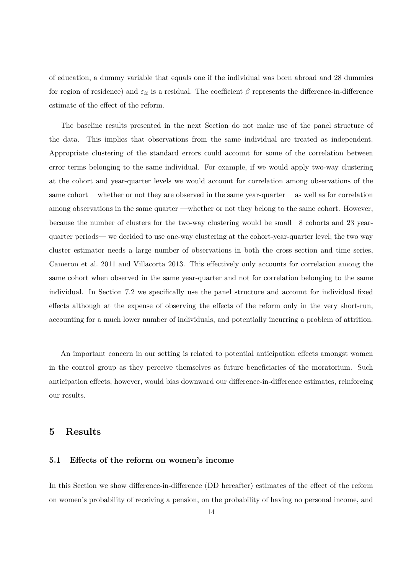of education, a dummy variable that equals one if the individual was born abroad and 28 dummies for region of residence) and  $\varepsilon_{it}$  is a residual. The coefficient  $\beta$  represents the difference-in-difference estimate of the effect of the reform.

The baseline results presented in the next Section do not make use of the panel structure of the data. This implies that observations from the same individual are treated as independent. Appropriate clustering of the standard errors could account for some of the correlation between error terms belonging to the same individual. For example, if we would apply two-way clustering at the cohort and year-quarter levels we would account for correlation among observations of the same cohort —whether or not they are observed in the same year-quarter— as well as for correlation among observations in the same quarter —whether or not they belong to the same cohort. However, because the number of clusters for the two-way clustering would be small—8 cohorts and 23 yearquarter periods— we decided to use one-way clustering at the cohort-year-quarter level; the two way cluster estimator needs a large number of observations in both the cross section and time series, Cameron et al. 2011 and Villacorta 2013. This effectively only accounts for correlation among the same cohort when observed in the same year-quarter and not for correlation belonging to the same individual. In Section 7.2 we specifically use the panel structure and account for individual fixed effects although at the expense of observing the effects of the reform only in the very short-run, accounting for a much lower number of individuals, and potentially incurring a problem of attrition.

An important concern in our setting is related to potential anticipation effects amongst women in the control group as they perceive themselves as future beneficiaries of the moratorium. Such anticipation effects, however, would bias downward our difference-in-difference estimates, reinforcing our results.

### **5 Results**

#### **5.1 Effects of the reform on women's income**

In this Section we show difference-in-difference (DD hereafter) estimates of the effect of the reform on women's probability of receiving a pension, on the probability of having no personal income, and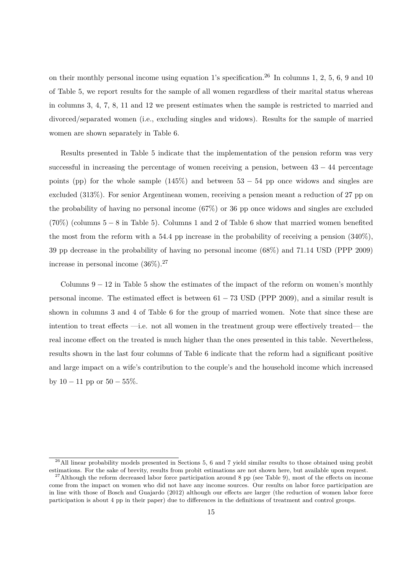on their monthly personal income using equation 1's specification.<sup>26</sup> In columns 1, 2*,* 5, 6, 9 and 10 of Table 5, we report results for the sample of all women regardless of their marital status whereas in columns 3, 4*,* 7, 8, 11 and 12 we present estimates when the sample is restricted to married and divorced/separated women (i.e., excluding singles and widows). Results for the sample of married women are shown separately in Table 6.

Results presented in Table 5 indicate that the implementation of the pension reform was very successful in increasing the percentage of women receiving a pension, between  $43 - 44$  percentage points (pp) for the whole sample  $(145\%)$  and between  $53 - 54$  pp once widows and singles are excluded (313%). For senior Argentinean women, receiving a pension meant a reduction of 27 pp on the probability of having no personal income (67%) or 36 pp once widows and singles are excluded  $(70\%)$  (columns 5 – 8 in Table 5). Columns 1 and 2 of Table 6 show that married women benefited the most from the reform with a 54*.*4 pp increase in the probability of receiving a pension (340%), 39 pp decrease in the probability of having no personal income (68%) and 71*.*14 USD (PPP 2009) increase in personal income  $(36\%)$ .<sup>27</sup>

Columns  $9 - 12$  in Table 5 show the estimates of the impact of the reform on women's monthly personal income. The estimated effect is between  $61 - 73$  USD (PPP 2009), and a similar result is shown in columns 3 and 4 of Table 6 for the group of married women. Note that since these are intention to treat effects —i.e. not all women in the treatment group were effectively treated— the real income effect on the treated is much higher than the ones presented in this table. Nevertheless, results shown in the last four columns of Table 6 indicate that the reform had a significant positive and large impact on a wife's contribution to the couple's and the household income which increased by  $10 - 11$  pp or  $50 - 55\%$ .

 $^{26}$ All linear probability models presented in Sections 5, 6 and 7 yield similar results to those obtained using probit estimations. For the sake of brevity, results from probit estimations are not shown here, but available upon request.

 $27$ Although the reform decreased labor force participation around 8 pp (see Table 9), most of the effects on income come from the impact on women who did not have any income sources. Our results on labor force participation are in line with those of Bosch and Guajardo (2012) although our effects are larger (the reduction of women labor force participation is about 4 pp in their paper) due to differences in the definitions of treatment and control groups.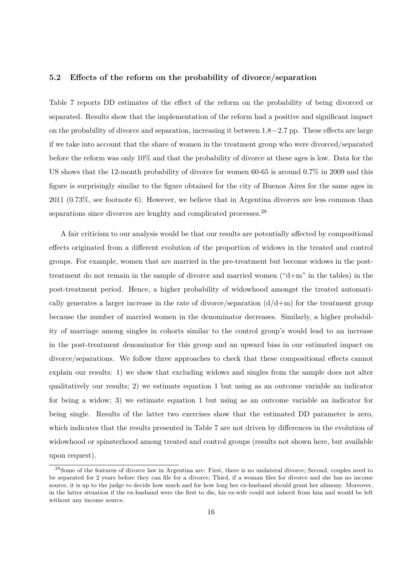#### **5.2 Effects of the reform on the probability of divorce/separation**

Table 7 reports DD estimates of the effect of the reform on the probability of being divorced or separated. Results show that the implementation of the reform had a positive and significant impact on the probability of divorce and separation, increasing it between 1*.*8−2*.*7 pp. These effects are large if we take into account that the share of women in the treatment group who were divorced/separated before the reform was only 10% and that the probability of divorce at these ages is low. Data for the US shows that the 12-month probability of divorce for women 60-65 is around 0.7% in 2009 and this figure is surprisingly similar to the figure obtained for the city of Buenos Aires for the same ages in 2011 (0.73%, see footnote 6). However, we believe that in Argentina divorces are less common than separations since divorces are lenghty and complicated processes. $^{28}$ 

A fair criticism to our analysis would be that our results are potentially affected by compositional effects originated from a different evolution of the proportion of widows in the treated and control groups. For example, women that are married in the pre-treatment but become widows in the posttreatment do not remain in the sample of divorce and married women ("d+m" in the tables) in the post-treatment period. Hence, a higher probability of widowhood amongst the treated automatically generates a larger increase in the rate of divorce/separation  $(d/d+m)$  for the treatment group because the number of married women in the denominator decreases. Similarly, a higher probability of marriage among singles in cohorts similar to the control group's would lead to an increase in the post-treatment denominator for this group and an upward bias in our estimated impact on divorce/separations. We follow three approaches to check that these compositional effects cannot explain our results: 1) we show that excluding widows and singles from the sample does not alter qualitatively our results; 2) we estimate equation 1 but using as an outcome variable an indicator for being a widow; 3) we estimate equation 1 but using as an outcome variable an indicator for being single. Results of the latter two exercises show that the estimated DD parameter is zero, which indicates that the results presented in Table 7 are not driven by differences in the evolution of widowhood or spinsterhood among treated and control groups (results not shown here, but available upon request).

<sup>&</sup>lt;sup>28</sup>Some of the features of divorce law in Argentina are: First, there is no unilateral divorce; Second, couples need to be separated for 2 years before they can file for a divorce; Third, if a woman files for divorce and she has no income source, it is up to the judge to decide how much and for how long her ex-husband should grant her alimony. Moreover, in the latter situation if the ex-husband were the first to die, his ex-wife could not inherit from him and would be left without any income source.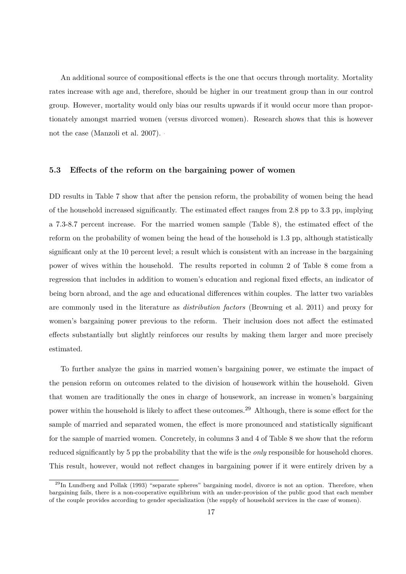An additional source of compositional effects is the one that occurs through mortality. Mortality rates increase with age and, therefore, should be higher in our treatment group than in our control group. However, mortality would only bias our results upwards if it would occur more than proportionately amongst married women (versus divorced women). Research shows that this is however not the case (Manzoli et al. 2007).

#### **5.3 Effects of the reform on the bargaining power of women**

DD results in Table 7 show that after the pension reform, the probability of women being the head of the household increased significantly. The estimated effect ranges from 2*.*8 pp to 3*.*3 pp, implying a 7.3-8.7 percent increase. For the married women sample (Table 8), the estimated effect of the reform on the probability of women being the head of the household is 1*.*3 pp, although statistically significant only at the 10 percent level; a result which is consistent with an increase in the bargaining power of wives within the household. The results reported in column 2 of Table 8 come from a regression that includes in addition to women's education and regional fixed effects, an indicator of being born abroad, and the age and educational differences within couples. The latter two variables are commonly used in the literature as *distribution factors* (Browning et al. 2011) and proxy for women's bargaining power previous to the reform. Their inclusion does not affect the estimated effects substantially but slightly reinforces our results by making them larger and more precisely estimated.

To further analyze the gains in married women's bargaining power, we estimate the impact of the pension reform on outcomes related to the division of housework within the household. Given that women are traditionally the ones in charge of housework, an increase in women's bargaining power within the household is likely to affect these outcomes.<sup>29</sup> Although, there is some effect for the sample of married and separated women, the effect is more pronounced and statistically significant for the sample of married women. Concretely, in columns 3 and 4 of Table 8 we show that the reform reduced significantly by 5 pp the probability that the wife is the *only* responsible for household chores. This result, however, would not reflect changes in bargaining power if it were entirely driven by a

<sup>&</sup>lt;sup>29</sup>In Lundberg and Pollak (1993) "separate spheres" bargaining model, divorce is not an option. Therefore, when bargaining fails, there is a non-cooperative equilibrium with an under-provision of the public good that each member of the couple provides according to gender specialization (the supply of household services in the case of women).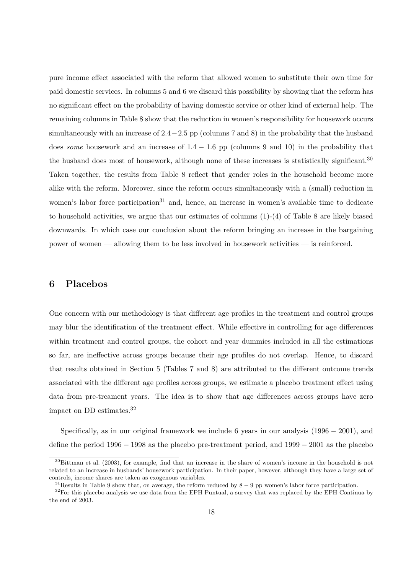pure income effect associated with the reform that allowed women to substitute their own time for paid domestic services. In columns 5 and 6 we discard this possibility by showing that the reform has no significant effect on the probability of having domestic service or other kind of external help. The remaining columns in Table 8 show that the reduction in women's responsibility for housework occurs simultaneously with an increase of 2*.*4−2*.*5 pp (columns 7 and 8) in the probability that the husband does *some* housework and an increase of 1*.*4 − 1*.*6 pp (columns 9 and 10) in the probability that the husband does most of housework, although none of these increases is statistically significant.<sup>30</sup> Taken together, the results from Table 8 reflect that gender roles in the household become more alike with the reform. Moreover, since the reform occurs simultaneously with a (small) reduction in women's labor force participation<sup>31</sup> and, hence, an increase in women's available time to dedicate to household activities, we argue that our estimates of columns (1)-(4) of Table 8 are likely biased downwards. In which case our conclusion about the reform bringing an increase in the bargaining power of women — allowing them to be less involved in housework activities — is reinforced.

# **6 Placebos**

One concern with our methodology is that different age profiles in the treatment and control groups may blur the identification of the treatment effect. While effective in controlling for age differences within treatment and control groups, the cohort and year dummies included in all the estimations so far, are ineffective across groups because their age profiles do not overlap. Hence, to discard that results obtained in Section 5 (Tables 7 and 8) are attributed to the different outcome trends associated with the different age profiles across groups, we estimate a placebo treatment effect using data from pre-treament years. The idea is to show that age differences across groups have zero impact on DD estimates.<sup>32</sup>

Specifically, as in our original framework we include 6 years in our analysis  $(1996 - 2001)$ , and define the period 1996 − 1998 as the placebo pre-treatment period, and 1999 − 2001 as the placebo

 $30$ Bittman et al. (2003), for example, find that an increase in the share of women's income in the household is not related to an increase in husbands' housework participation. In their paper, however, although they have a large set of controls, income shares are taken as exogenous variables.

 $31$ Results in Table 9 show that, on average, the reform reduced by  $8 - 9$  pp women's labor force participation.

 $32$ For this placebo analysis we use data from the EPH Puntual, a survey that was replaced by the EPH Continua by the end of 2003.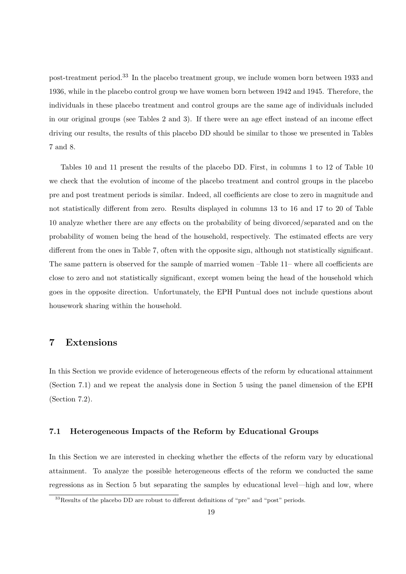post-treatment period.<sup>33</sup> In the placebo treatment group, we include women born between 1933 and 1936, while in the placebo control group we have women born between 1942 and 1945. Therefore, the individuals in these placebo treatment and control groups are the same age of individuals included in our original groups (see Tables 2 and 3). If there were an age effect instead of an income effect driving our results, the results of this placebo DD should be similar to those we presented in Tables 7 and 8.

Tables 10 and 11 present the results of the placebo DD. First, in columns 1 to 12 of Table 10 we check that the evolution of income of the placebo treatment and control groups in the placebo pre and post treatment periods is similar. Indeed, all coefficients are close to zero in magnitude and not statistically different from zero. Results displayed in columns 13 to 16 and 17 to 20 of Table 10 analyze whether there are any effects on the probability of being divorced/separated and on the probability of women being the head of the household, respectively. The estimated effects are very different from the ones in Table 7, often with the opposite sign, although not statistically significant. The same pattern is observed for the sample of married women –Table 11– where all coefficients are close to zero and not statistically significant, except women being the head of the household which goes in the opposite direction. Unfortunately, the EPH Puntual does not include questions about housework sharing within the household.

# **7 Extensions**

In this Section we provide evidence of heterogeneous effects of the reform by educational attainment (Section 7.1) and we repeat the analysis done in Section 5 using the panel dimension of the EPH (Section 7.2).

#### **7.1 Heterogeneous Impacts of the Reform by Educational Groups**

In this Section we are interested in checking whether the effects of the reform vary by educational attainment. To analyze the possible heterogeneous effects of the reform we conducted the same regressions as in Section 5 but separating the samples by educational level—high and low, where

<sup>&</sup>lt;sup>33</sup>Results of the placebo DD are robust to different definitions of "pre" and "post" periods.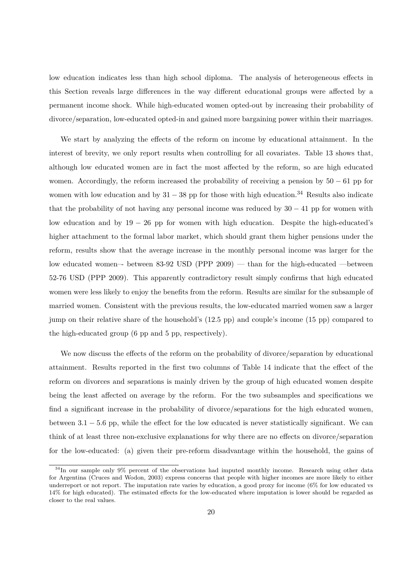low education indicates less than high school diploma. The analysis of heterogeneous effects in this Section reveals large differences in the way different educational groups were affected by a permanent income shock. While high-educated women opted-out by increasing their probability of divorce/separation, low-educated opted-in and gained more bargaining power within their marriages.

We start by analyzing the effects of the reform on income by educational attainment. In the interest of brevity, we only report results when controlling for all covariates. Table 13 shows that, although low educated women are in fact the most affected by the reform, so are high educated women. Accordingly, the reform increased the probability of receiving a pension by 50 − 61 pp for women with low education and by  $31 - 38$  pp for those with high education.<sup>34</sup> Results also indicate that the probability of not having any personal income was reduced by  $30 - 41$  pp for women with low education and by 19 − 26 pp for women with high education. Despite the high-educated's higher attachment to the formal labor market, which should grant them higher pensions under the reform, results show that the average increase in the monthly personal income was larger for the low educated women–- between 83-92 USD (PPP 2009) — than for the high-educated —between 52-76 USD (PPP 2009). This apparently contradictory result simply confirms that high educated women were less likely to enjoy the benefits from the reform. Results are similar for the subsample of married women. Consistent with the previous results, the low-educated married women saw a larger jump on their relative share of the household's (12*.*5 pp) and couple's income (15 pp) compared to the high-educated group (6 pp and 5 pp, respectively).

We now discuss the effects of the reform on the probability of divorce/separation by educational attainment. Results reported in the first two columns of Table 14 indicate that the effect of the reform on divorces and separations is mainly driven by the group of high educated women despite being the least affected on average by the reform. For the two subsamples and specifications we find a significant increase in the probability of divorce/separations for the high educated women, between 3*.*1 − 5*.*6 pp, while the effect for the low educated is never statistically significant. We can think of at least three non-exclusive explanations for why there are no effects on divorce/separation for the low-educated: (a) given their pre-reform disadvantage within the household, the gains of

<sup>34</sup>In our sample only 9% percent of the observations had imputed monthly income. Research using other data for Argentina (Cruces and Wodon, 2003) express concerns that people with higher incomes are more likely to either underreport or not report. The imputation rate varies by education, a good proxy for income (6% for low educated vs 14% for high educated). The estimated effects for the low-educated where imputation is lower should be regarded as closer to the real values.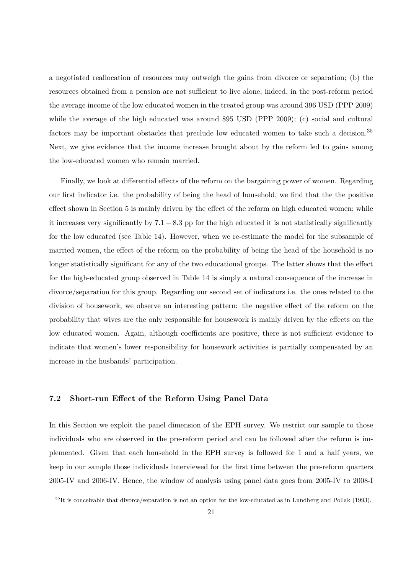a negotiated reallocation of resources may outweigh the gains from divorce or separation; (b) the resources obtained from a pension are not sufficient to live alone; indeed, in the post-reform period the average income of the low educated women in the treated group was around 396 USD (PPP 2009) while the average of the high educated was around 895 USD (PPP 2009); (c) social and cultural factors may be important obstacles that preclude low educated women to take such a decision.<sup>35</sup> Next, we give evidence that the income increase brought about by the reform led to gains among the low-educated women who remain married.

Finally, we look at differential effects of the reform on the bargaining power of women. Regarding our first indicator i.e. the probability of being the head of household, we find that the the positive effect shown in Section 5 is mainly driven by the effect of the reform on high educated women; while it increases very significantly by 7*.*1 − 8*.*3 pp for the high educated it is not statistically significantly for the low educated (see Table 14). However, when we re-estimate the model for the subsample of married women, the effect of the reform on the probability of being the head of the household is no longer statistically significant for any of the two educational groups. The latter shows that the effect for the high-educated group observed in Table 14 is simply a natural consequence of the increase in divorce/separation for this group. Regarding our second set of indicators i.e. the ones related to the division of housework, we observe an interesting pattern: the negative effect of the reform on the probability that wives are the only responsible for housework is mainly driven by the effects on the low educated women. Again, although coefficients are positive, there is not sufficient evidence to indicate that women's lower responsibility for housework activities is partially compensated by an increase in the husbands' participation.

## **7.2 Short-run Effect of the Reform Using Panel Data**

In this Section we exploit the panel dimension of the EPH survey. We restrict our sample to those individuals who are observed in the pre-reform period and can be followed after the reform is implemented. Given that each household in the EPH survey is followed for 1 and a half years, we keep in our sample those individuals interviewed for the first time between the pre-reform quarters 2005-IV and 2006-IV. Hence, the window of analysis using panel data goes from 2005-IV to 2008-I

 $35$ It is conceivable that divorce/separation is not an option for the low-educated as in Lundberg and Pollak (1993).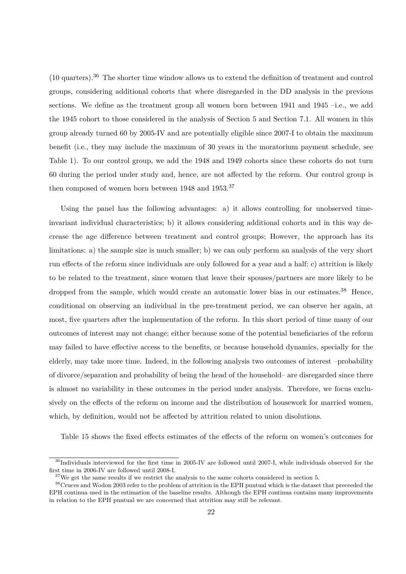(10 quarters).<sup>36</sup> The shorter time window allows us to extend the definition of treatment and control groups, considering additional cohorts that where disregarded in the DD analysis in the previous sections. We define as the treatment group all women born between 1941 and 1945 –i.e., we add the 1945 cohort to those considered in the analysis of Section 5 and Section 7.1. All women in this group already turned 60 by 2005-IV and are potentially eligible since 2007-I to obtain the maximum benefit (i.e., they may include the maximum of 30 years in the moratorium payment schedule, see Table 1). To our control group, we add the 1948 and 1949 cohorts since these cohorts do not turn 60 during the period under study and, hence, are not affected by the reform. Our control group is then composed of women born between 1948 and 1953.<sup>37</sup>

Using the panel has the following advantages: a) it allows controlling for unobserved timeinvariant individual characteristics; b) it allows considering additional cohorts and in this way decrease the age difference between treatment and control groups; However, the approach has its limitations: a) the sample size is much smaller; b) we can only perform an analysis of the very short run effects of the reform since individuals are only followed for a year and a half; c) attrition is likely to be related to the treatment, since women that leave their spouses/partners are more likely to be dropped from the sample, which would create an automatic lower bias in our estimates.<sup>38</sup> Hence, conditional on observing an individual in the pre-treatment period, we can observe her again, at most, five quarters after the implementation of the reform. In this short period of time many of our outcomes of interest may not change; either because some of the potential beneficiaries of the reform may failed to have effective access to the benefits, or because household dynamics, specially for the elderly, may take more time. Indeed, in the following analysis two outcomes of interest –probability of divorce/separation and probability of being the head of the household– are disregarded since there is almost no variability in these outcomes in the period under analysis. Therefore, we focus exclusively on the effects of the reform on income and the distribution of housework for married women, which, by definition, would not be affected by attrition related to union disolutions.

Table 15 shows the fixed effects estimates of the effects of the reform on women's outcomes for

<sup>&</sup>lt;sup>36</sup>Individuals interviewed for the first time in 2005-IV are followed until 2007-I, while individuals observed for the first time in 2006-IV are followed until 2008-I.

 $^{37}\rm{We}$  get the same results if we restrict the analysis to the same cohorts considered in section 5.

<sup>&</sup>lt;sup>38</sup>Cruces and Wodon 2003 refer to the problem of attrition in the EPH puntual which is the dataset that preceeded the EPH continua used in the estimation of the baseline results. Although the EPH continua contains many improvements in relation to the EPH puntual we are concerned that attrition may still be relevant.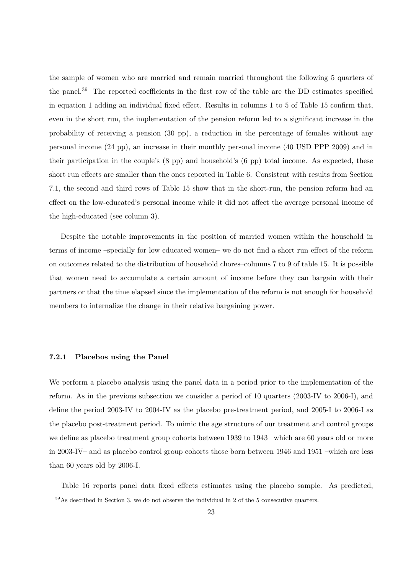the sample of women who are married and remain married throughout the following 5 quarters of the panel.<sup>39</sup> The reported coefficients in the first row of the table are the DD estimates specified in equation 1 adding an individual fixed effect. Results in columns 1 to 5 of Table 15 confirm that, even in the short run, the implementation of the pension reform led to a significant increase in the probability of receiving a pension (30 pp), a reduction in the percentage of females without any personal income (24 pp), an increase in their monthly personal income (40 USD PPP 2009) and in their participation in the couple's (8 pp) and household's (6 pp) total income. As expected, these short run effects are smaller than the ones reported in Table 6. Consistent with results from Section 7.1, the second and third rows of Table 15 show that in the short-run, the pension reform had an effect on the low-educated's personal income while it did not affect the average personal income of the high-educated (see column 3).

Despite the notable improvements in the position of married women within the household in terms of income –specially for low educated women– we do not find a short run effect of the reform on outcomes related to the distribution of household chores–columns 7 to 9 of table 15. It is possible that women need to accumulate a certain amount of income before they can bargain with their partners or that the time elapsed since the implementation of the reform is not enough for household members to internalize the change in their relative bargaining power.

#### **7.2.1 Placebos using the Panel**

We perform a placebo analysis using the panel data in a period prior to the implementation of the reform. As in the previous subsection we consider a period of 10 quarters (2003-IV to 2006-I), and define the period 2003-IV to 2004-IV as the placebo pre-treatment period, and 2005-I to 2006-I as the placebo post-treatment period. To mimic the age structure of our treatment and control groups we define as placebo treatment group cohorts between 1939 to 1943 –which are 60 years old or more in 2003-IV– and as placebo control group cohorts those born between 1946 and 1951 –which are less than 60 years old by 2006-I.

Table 16 reports panel data fixed effects estimates using the placebo sample. As predicted,

<sup>39</sup>As described in Section 3, we do not observe the individual in 2 of the 5 consecutive quarters.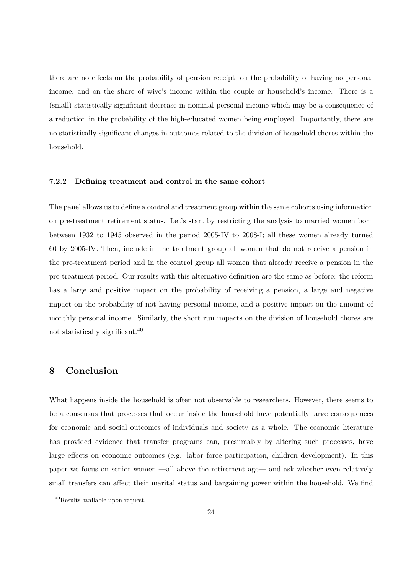there are no effects on the probability of pension receipt, on the probability of having no personal income, and on the share of wive's income within the couple or household's income. There is a (small) statistically significant decrease in nominal personal income which may be a consequence of a reduction in the probability of the high-educated women being employed. Importantly, there are no statistically significant changes in outcomes related to the division of household chores within the household.

#### **7.2.2 Defining treatment and control in the same cohort**

The panel allows us to define a control and treatment group within the same cohorts using information on pre-treatment retirement status. Let's start by restricting the analysis to married women born between 1932 to 1945 observed in the period 2005-IV to 2008-I; all these women already turned 60 by 2005-IV. Then, include in the treatment group all women that do not receive a pension in the pre-treatment period and in the control group all women that already receive a pension in the pre-treatment period. Our results with this alternative definition are the same as before: the reform has a large and positive impact on the probability of receiving a pension, a large and negative impact on the probability of not having personal income, and a positive impact on the amount of monthly personal income. Similarly, the short run impacts on the division of household chores are not statistically significant.<sup>40</sup>

# **8 Conclusion**

What happens inside the household is often not observable to researchers. However, there seems to be a consensus that processes that occur inside the household have potentially large consequences for economic and social outcomes of individuals and society as a whole. The economic literature has provided evidence that transfer programs can, presumably by altering such processes, have large effects on economic outcomes (e.g. labor force participation, children development). In this paper we focus on senior women —all above the retirement age— and ask whether even relatively small transfers can affect their marital status and bargaining power within the household. We find

<sup>40</sup>Results available upon request.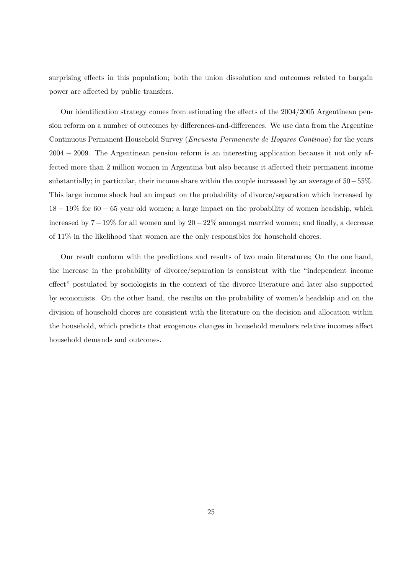surprising effects in this population; both the union dissolution and outcomes related to bargain power are affected by public transfers.

Our identification strategy comes from estimating the effects of the 2004*/*2005 Argentinean pension reform on a number of outcomes by differences-and-differences. We use data from the Argentine Continuous Permanent Household Survey (*Encuesta Permanente de Hogares Continua*) for the years 2004 − 2009. The Argentinean pension reform is an interesting application because it not only affected more than 2 million women in Argentina but also because it affected their permanent income substantially; in particular, their income share within the couple increased by an average of 50−55%. This large income shock had an impact on the probability of divorce/separation which increased by 18 − 19% for 60 − 65 year old women; a large impact on the probability of women headship, which increased by 7−19% for all women and by 20−22% amongst married women; and finally, a decrease of 11% in the likelihood that women are the only responsibles for household chores.

Our result conform with the predictions and results of two main literatures; On the one hand, the increase in the probability of divorce/separation is consistent with the "independent income effect" postulated by sociologists in the context of the divorce literature and later also supported by economists. On the other hand, the results on the probability of women's headship and on the division of household chores are consistent with the literature on the decision and allocation within the household, which predicts that exogenous changes in household members relative incomes affect household demands and outcomes.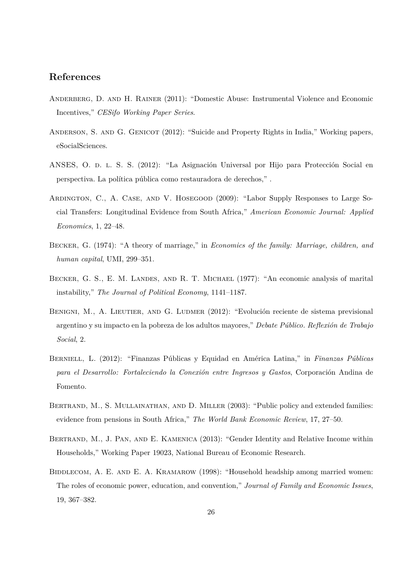# **References**

- ANDERBERG, D. AND H. RAINER (2011): "Domestic Abuse: Instrumental Violence and Economic Incentives," *CESifo Working Paper Series*.
- ANDERSON, S. AND G. GENICOT (2012): "Suicide and Property Rights in India," Working papers, eSocialSciences.
- ANSES, O. d. l. S. S. (2012): "La Asignación Universal por Hijo para Protección Social en perspectiva. La política pública como restauradora de derechos," .
- Ardington, C., A. Case, and V. Hosegood (2009): "Labor Supply Responses to Large Social Transfers: Longitudinal Evidence from South Africa," *American Economic Journal: Applied Economics*, 1, 22–48.
- Becker, G. (1974): "A theory of marriage," in *Economics of the family: Marriage, children, and human capital*, UMI, 299–351.
- BECKER, G. S., E. M. LANDES, AND R. T. MICHAEL (1977): "An economic analysis of marital instability," *The Journal of Political Economy*, 1141–1187.
- BENIGNI, M., A. LIEUTIER, AND G. LUDMER (2012): "Evolución reciente de sistema previsional argentino y su impacto en la pobreza de los adultos mayores," *Debate Público. Reflexión de Trabajo Social*, 2.
- Berniell, L. (2012): "Finanzas Públicas y Equidad en América Latina," in *Finanzas Públicas para el Desarrollo: Fortaleciendo la Conexión entre Ingresos y Gastos*, Corporación Andina de Fomento.
- BERTRAND, M., S. MULLAINATHAN, AND D. MILLER (2003): "Public policy and extended families: evidence from pensions in South Africa," *The World Bank Economic Review*, 17, 27–50.
- BERTRAND, M., J. PAN, AND E. KAMENICA (2013): "Gender Identity and Relative Income within Households," Working Paper 19023, National Bureau of Economic Research.
- BIDDLECOM, A. E. AND E. A. KRAMAROW (1998): "Household headship among married women: The roles of economic power, education, and convention," *Journal of Family and Economic Issues*, 19, 367–382.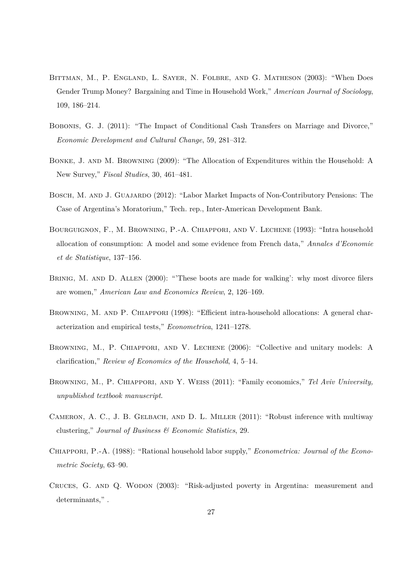- BITTMAN, M., P. ENGLAND, L. SAYER, N. FOLBRE, AND G. MATHESON (2003): "When Does Gender Trump Money? Bargaining and Time in Household Work," *American Journal of Sociology*, 109, 186–214.
- Bobonis, G. J. (2011): "The Impact of Conditional Cash Transfers on Marriage and Divorce," *Economic Development and Cultural Change*, 59, 281–312.
- Bonke, J. and M. Browning (2009): "The Allocation of Expenditures within the Household: A New Survey," *Fiscal Studies*, 30, 461–481.
- Bosch, M. and J. Guajardo (2012): "Labor Market Impacts of Non-Contributory Pensions: The Case of Argentina's Moratorium," Tech. rep., Inter-American Development Bank.
- Bourguignon, F., M. Browning, P.-A. Chiappori, and V. Lechene (1993): "Intra household allocation of consumption: A model and some evidence from French data," *Annales d'Economie et de Statistique*, 137–156.
- BRINIG, M. AND D. ALLEN (2000): "These boots are made for walking': why most divorce filers are women," *American Law and Economics Review*, 2, 126–169.
- BROWNING, M. AND P. CHIAPPORI (1998): "Efficient intra-household allocations: A general characterization and empirical tests," *Econometrica*, 1241–1278.
- Browning, M., P. Chiappori, and V. Lechene (2006): "Collective and unitary models: A clarification," *Review of Economics of the Household*, 4, 5–14.
- Browning, M., P. Chiappori, and Y. Weiss (2011): "Family economics," *Tel Aviv University, unpublished textbook manuscript*.
- CAMERON, A. C., J. B. GELBACH, AND D. L. MILLER (2011): "Robust inference with multiway clustering," *Journal of Business & Economic Statistics*, 29.
- Chiappori, P.-A. (1988): "Rational household labor supply," *Econometrica: Journal of the Econometric Society*, 63–90.
- Cruces, G. and Q. Wodon (2003): "Risk-adjusted poverty in Argentina: measurement and determinants.".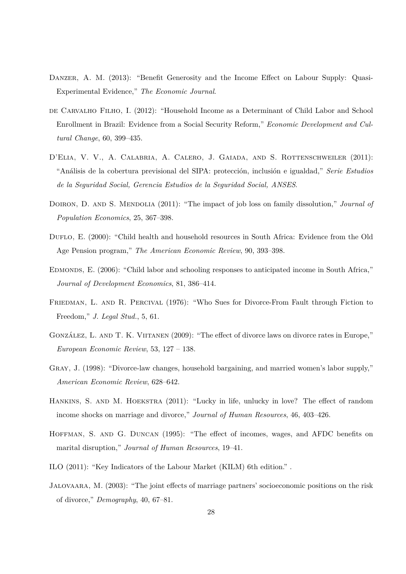- Danzer, A. M. (2013): "Benefit Generosity and the Income Effect on Labour Supply: Quasi-Experimental Evidence," *The Economic Journal*.
- DE CARVALHO FILHO, I. (2012): "Household Income as a Determinant of Child Labor and School Enrollment in Brazil: Evidence from a Social Security Reform," *Economic Development and Cultural Change*, 60, 399–435.
- D'ELIA, V. V., A. CALABRIA, A. CALERO, J. GAIADA, AND S. ROTTENSCHWEILER (2011): "Análisis de la cobertura previsional del SIPA: protección, inclusión e igualdad," *Serie Estudios de la Seguridad Social, Gerencia Estudios de la Seguridad Social, ANSES*.
- Doiron, D. and S. Mendolia (2011): "The impact of job loss on family dissolution," *Journal of Population Economics*, 25, 367–398.
- Duflo, E. (2000): "Child health and household resources in South Africa: Evidence from the Old Age Pension program," *The American Economic Review*, 90, 393–398.
- Edmonds, E. (2006): "Child labor and schooling responses to anticipated income in South Africa," *Journal of Development Economics*, 81, 386–414.
- FRIEDMAN, L. AND R. PERCIVAL (1976): "Who Sues for Divorce-From Fault through Fiction to Freedom," *J. Legal Stud.*, 5, 61.
- González, L. and T. K. Viitanen (2009): "The effect of divorce laws on divorce rates in Europe," *European Economic Review*, 53, 127 – 138.
- Gray, J. (1998): "Divorce-law changes, household bargaining, and married women's labor supply," *American Economic Review*, 628–642.
- Hankins, S. and M. Hoekstra (2011): "Lucky in life, unlucky in love? The effect of random income shocks on marriage and divorce," *Journal of Human Resources*, 46, 403–426.
- Hoffman, S. and G. Duncan (1995): "The effect of incomes, wages, and AFDC benefits on marital disruption," *Journal of Human Resources*, 19–41.
- ILO (2011): "Key Indicators of the Labour Market (KILM) 6th edition." .
- Jalovaara, M. (2003): "The joint effects of marriage partners' socioeconomic positions on the risk of divorce," *Demography*, 40, 67–81.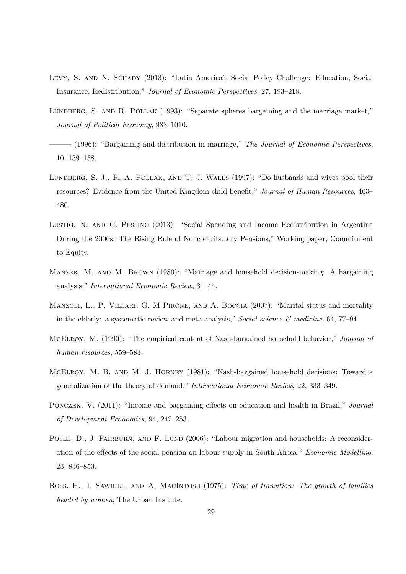- Levy, S. and N. Schady (2013): "Latin America's Social Policy Challenge: Education, Social Insurance, Redistribution," *Journal of Economic Perspectives*, 27, 193–218.
- LUNDBERG, S. AND R. POLLAK (1993): "Separate spheres bargaining and the marriage market," *Journal of Political Economy*, 988–1010.
- ——— (1996): "Bargaining and distribution in marriage," *The Journal of Economic Perspectives*, 10, 139–158.
- Lundberg, S. J., R. A. Pollak, and T. J. Wales (1997): "Do husbands and wives pool their resources? Evidence from the United Kingdom child benefit," *Journal of Human Resources*, 463– 480.
- Lustig, N. and C. Pessino (2013): "Social Spending and Income Redistribution in Argentina During the 2000s: The Rising Role of Noncontributory Pensions," Working paper, Commitment to Equity.
- MANSER, M. AND M. BROWN (1980): "Marriage and household decision-making: A bargaining analysis," *International Economic Review*, 31–44.
- MANZOLI, L., P. VILLARI, G. M PIRONE, AND A. BOCCIA (2007): "Marital status and mortality in the elderly: a systematic review and meta-analysis," *Social science & medicine*, 64, 77–94.
- McElroy, M. (1990): "The empirical content of Nash-bargained household behavior," *Journal of human resources*, 559–583.
- McElroy, M. B. and M. J. Horney (1981): "Nash-bargained household decisions: Toward a generalization of the theory of demand," *International Economic Review*, 22, 333–349.
- Ponczek, V. (2011): "Income and bargaining effects on education and health in Brazil," *Journal of Development Economics*, 94, 242–253.
- POSEL, D., J. FAIRBURN, AND F. LUND (2006): "Labour migration and households: A reconsideration of the effects of the social pension on labour supply in South Africa," *Economic Modelling*, 23, 836–853.
- Ross, H., I. Sawhill, and A. MacIntosh (1975): *Time of transition: The growth of families headed by women*, The Urban Insitute.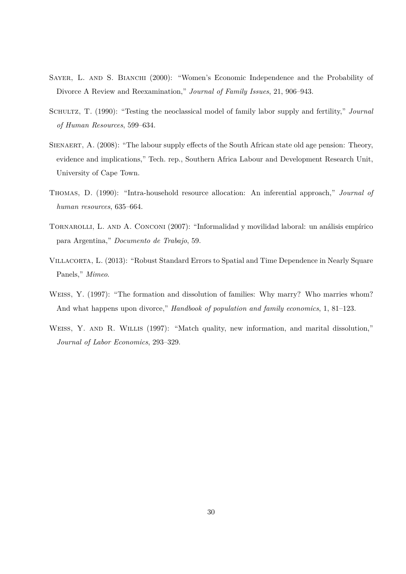- SAYER, L. AND S. BIANCHI (2000): "Women's Economic Independence and the Probability of Divorce A Review and Reexamination," *Journal of Family Issues*, 21, 906–943.
- Schultz, T. (1990): "Testing the neoclassical model of family labor supply and fertility," *Journal of Human Resources*, 599–634.
- SIENAERT, A. (2008): "The labour supply effects of the South African state old age pension: Theory, evidence and implications," Tech. rep., Southern Africa Labour and Development Research Unit, University of Cape Town.
- Thomas, D. (1990): "Intra-household resource allocation: An inferential approach," *Journal of human resources*, 635–664.
- TORNAROLLI, L. AND A. CONCONI (2007): "Informalidad y movilidad laboral: un análisis empírico para Argentina," *Documento de Trabajo*, 59.
- Villacorta, L. (2013): "Robust Standard Errors to Spatial and Time Dependence in Nearly Square Panels," *Mimeo*.
- Weiss, Y. (1997): "The formation and dissolution of families: Why marry? Who marries whom? And what happens upon divorce," *Handbook of population and family economics*, 1, 81–123.
- WEISS, Y. AND R. WILLIS (1997): "Match quality, new information, and marital dissolution," *Journal of Labor Economics*, 293–329.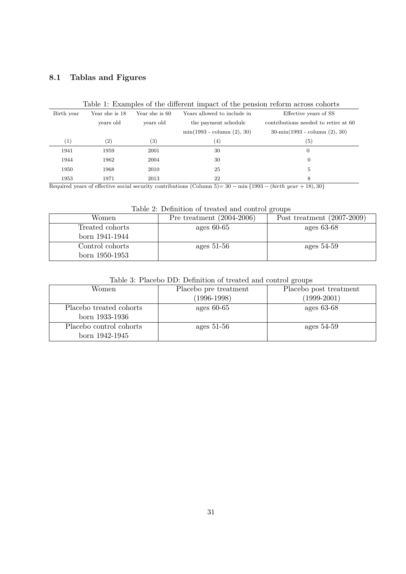# **8.1 Tablas and Figures**

| Birth year | Year she is 18    | Year she is 60    | Years allowed to include in  | Effective years of SS                         |
|------------|-------------------|-------------------|------------------------------|-----------------------------------------------|
|            | years old         | years old         | the payment schedule         | contributions needed to retire at 60          |
|            |                   |                   | $min(1993 - column (2), 30)$ | $30\text{-min}(1993 - \text{column} (2), 30)$ |
| (1)        | $\left( 2\right)$ | $\left( 3\right)$ | $^{(4)}$                     | $\left( 5\right)$                             |
| 1941       | 1959              | 2001              | 30                           | $\boldsymbol{0}$                              |
| 1944       | 1962              | 2004              | 30                           | $\overline{0}$                                |
| 1950       | 1968              | 2010              | 25                           | 5                                             |
| 1953       | 1971              | 2013              | 22                           | 8                                             |
|            |                   |                   |                              |                                               |

#### Table 1: Examples of the different impact of the pension reform across cohorts

Required years of effective social security contributions (Column 5)= 30 − min {1993 − (*birth year* + 18)*,* 30}

Table 2: Definition of treated and control groups

| Women           | Pre treatment $(2004-2006)$ | Post treatment $(2007-2009)$ |
|-----------------|-----------------------------|------------------------------|
| Treated cohorts | ages $60-65$                | ages $63-68$                 |
| born 1941-1944  |                             |                              |
| Control cohorts | ages $51-56$                | ages $54-59$                 |
| born 1950-1953  |                             |                              |

|  |  |  | Table 3: Placebo DD: Definition of treated and control groups |  |  |  |  |  |
|--|--|--|---------------------------------------------------------------|--|--|--|--|--|
|--|--|--|---------------------------------------------------------------|--|--|--|--|--|

| Women                   | Placebo pre treatment | Placebo post treatment |
|-------------------------|-----------------------|------------------------|
|                         | $(1996 - 1998)$       | $(1999-2001)$          |
| Placebo treated cohorts | ages $60-65$          | ages $63-68$           |
| born 1933-1936          |                       |                        |
| Placebo control cohorts | ages $51-56$          | ages $54-59$           |
| born 1942-1945          |                       |                        |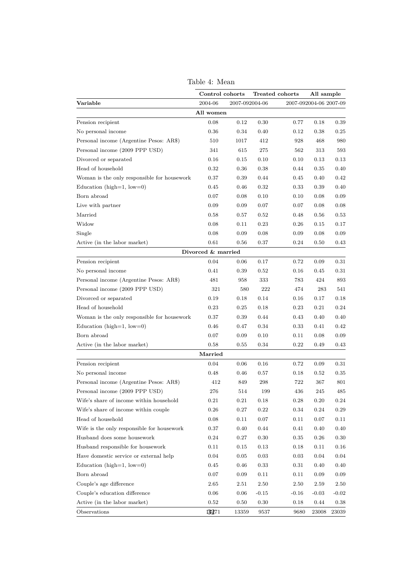|                                             | Control cohorts    |                |         | Treated cohorts | All sample             |          |
|---------------------------------------------|--------------------|----------------|---------|-----------------|------------------------|----------|
| Variable                                    | 2004-06            | 2007-092004-06 |         |                 | 2007-092004-06 2007-09 |          |
|                                             | All women          |                |         |                 |                        |          |
| Pension recipient                           | 0.08               | 0.12           | 0.30    | 0.77            | 0.18                   | 0.39     |
| No personal income                          | 0.36               | 0.34           | 0.40    | 0.12            | 0.38                   | 0.25     |
| Personal income (Argentine Pesos: AR\$)     | 510                | 1017           | 412     | 928             | 468                    | 980      |
| Personal income (2009 PPP USD)              | 341                | 615            | 275     | 562             | 313                    | 593      |
| Divorced or separated                       | 0.16               | 0.15           | 0.10    | 0.10            | 0.13                   | 0.13     |
| Head of household                           | 0.32               | $0.36\,$       | 0.38    | 0.44            | 0.35                   | 0.40     |
| Woman is the only responsible for housework | 0.37               | 0.39           | 0.44    | 0.45            | 0.40                   | 0.42     |
| Education (high= $1$ , low= $0$ )           | 0.45               | 0.46           | 0.32    | 0.33            | 0.39                   | 0.40     |
| Born abroad                                 | 0.07               | 0.08           | 0.10    | 0.10            | 0.08                   | 0.09     |
| Live with partner                           | 0.09               | 0.09           | 0.07    | 0.07            | 0.08                   | 0.08     |
| Married                                     | 0.58               | 0.57           | 0.52    | 0.48            | 0.56                   | 0.53     |
| Widow                                       | 0.08               | 0.11           | 0.23    | 0.26            | 0.15                   | 0.17     |
| Single                                      | 0.08               | 0.09           | 0.08    | 0.09            | 0.08                   | 0.09     |
| Active (in the labor market)                | 0.61               | 0.56           | 0.37    | 0.24            | 0.50                   | 0.43     |
|                                             | Divorced & married |                |         |                 |                        |          |
| Pension recipient                           | 0.04               | 0.06           | 0.17    | 0.72            | 0.09                   | 0.31     |
| No personal income                          | 0.41               | 0.39           | 0.52    | 0.16            | 0.45                   | $0.31\,$ |
| Personal income (Argentine Pesos: AR\$)     | 481                | 958            | 333     | 783             | 424                    | 893      |
| Personal income (2009 PPP USD)              | 321                | 580            | 222     | 474             | 283                    | 541      |
| Divorced or separated                       | 0.19               | 0.18           | 0.14    | 0.16            | 0.17                   | 0.18     |
| Head of household                           | 0.23               | 0.25           | 0.18    | 0.23            | 0.21                   | 0.24     |
| Woman is the only responsible for housework | 0.37               | 0.39           | 0.44    | 0.43            | 0.40                   | 0.40     |
| Education (high=1, low=0)                   | 0.46               | 0.47           | 0.34    | 0.33            | 0.41                   | 0.42     |
| Born abroad                                 | 0.07               | 0.09           | 0.10    | 0.11            | 0.08                   | 0.09     |
| Active (in the labor market)                | 0.58               | $_{0.55}$      | 0.34    | $0.22\,$        | 0.49                   | 0.43     |
|                                             | Married            |                |         |                 |                        |          |
| Pension recipient                           | 0.04               | 0.06           | 0.16    | 0.72            | 0.09                   | 0.31     |
| No personal income                          | 0.48               | 0.46           | 0.57    | 0.18            | 0.52                   | 0.35     |
| Personal income (Argentine Pesos: AR\$)     | 412                | 849            | 298     | 722             | 367                    | 801      |
| Personal income (2009 PPP USD)              | 276                | 514            | 199     | 436             | 245                    | 485      |
| Wife's share of income within household     | 0.21               | 0.21           | 0.18    | 0.28            | 0.20                   | 0.24     |
| Wife's share of income within couple        | 0.26               | 0.27           | 0.22    | 0.34            | 0.24                   | 0.29     |
| Head of household                           | 0.08               | 0.11           | 0.07    | 0.11            | 0.07                   | 0.11     |
| Wife is the only responsible for housework  | 0.37               | 0.40           | 0.44    | 0.41            | 0.40                   | 0.40     |
| Husband does some housework                 | 0.24               | 0.27           | 0.30    | 0.35            | 0.26                   | 0.30     |
| Husband responsible for housework           | 0.11               | 0.15           | 0.13    | 0.18            | 0.11                   | 0.16     |
| Have domestic service or external help      | 0.04               | 0.05           | 0.03    | 0.03            | 0.04                   | 0.04     |
| Education (high= $1$ , low= $0$ )           | 0.45               | 0.46           | 0.33    | 0.31            | 0.40                   | 0.40     |
| Born abroad                                 | 0.07               | 0.09           | 0.11    | 0.11            | 0.09                   | 0.09     |
| Couple's age difference                     | 2.65               | 2.51           | 2.50    | 2.50            | 2.59                   | 2.50     |
| Couple's education difference               | 0.06               | 0.06           | $-0.15$ | $-0.16$         | $-0.03$                | $-0.02$  |
| Active (in the labor market)                | 0.52               | 0.50           | 0.30    | 0.18            | 0.44                   | 0.38     |
| Observations                                | 13271              | 13359          | 9537    | 9680            | 23008                  | 23039    |

Table 4: Mean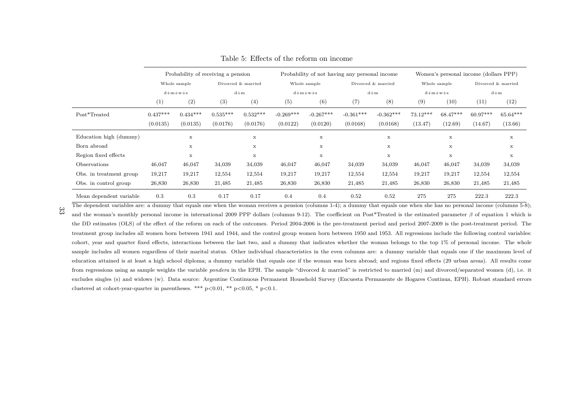|                         |            | Probability of receiving a pension |            |                    |             |              | Probability of not having any personal income |             | Women's personal income (dollars PPP) |             |                    |             |
|-------------------------|------------|------------------------------------|------------|--------------------|-------------|--------------|-----------------------------------------------|-------------|---------------------------------------|-------------|--------------------|-------------|
|                         |            | Whole sample                       |            | Divorced & married |             | Whole sample | Divorced & married                            |             | Whole sample                          |             | Divorced & married |             |
|                         | $d+m+w+s$  |                                    | $d+m$      |                    | $d+m+w+s$   |              | $d+m$                                         |             | $d+m+w+s$                             |             | $d+m$              |             |
|                         | (1)        | (2)                                | (3)        | (4)                | (5)         | (6)          | (7)                                           | (8)         | (9)                                   | (10)        | (11)               | (12)        |
| Post*Treated            | $0.437***$ | $0.434***$                         | $0.535***$ | $0.532***$         | $-0.269***$ | $-0.267***$  | $-0.361***$                                   | $-0.362***$ | $73.12***$                            | $68.47***$  | $60.97***$         | $65.64***$  |
|                         | (0.0135)   | (0.0135)                           | (0.0176)   | (0.0176)           | (0.0122)    | (0.0120)     | (0.0168)                                      | (0.0168)    | (13.47)                               | (12.69)     | (14.67)            | (13.66)     |
| Education high (dummy)  |            | $\mathbf x$                        |            | X                  |             | X            |                                               | $\mathbf x$ |                                       | $\mathbf x$ |                    | $\mathbf x$ |
| Born abroad             |            | $\mathbf x$                        |            | $\mathbf x$        |             | $\mathbf x$  |                                               | $\mathbf x$ |                                       | $\mathbf x$ |                    | $\mathbf x$ |
| Region fixed effects    |            | $\mathbf x$                        |            | $\mathbf x$        |             | X            |                                               | $\mathbf x$ |                                       | $\mathbf x$ |                    | $\mathbf x$ |
| Observations            | 46,047     | 46,047                             | 34,039     | 34,039             | 46,047      | 46,047       | 34,039                                        | 34,039      | 46,047                                | 46,047      | 34,039             | 34,039      |
| Obs. in treatment group | 19,217     | 19,217                             | 12,554     | 12,554             | 19,217      | 19,217       | 12,554                                        | 12,554      | 19,217                                | 19,217      | 12,554             | 12,554      |
| Obs. in control group   | 26,830     | 26,830                             | 21,485     | 21,485             | 26,830      | 26,830       | 21,485                                        | 21,485      | 26,830                                | 26,830      | 21,485             | 21,485      |
| Mean dependent variable | 0.3        | 0.3                                | 0.17       | 0.17               | 0.4         | 0.4          | 0.52                                          | 0.52        | 275                                   | 275         | 222.3              | 222.3       |

Table 5: Effects of the reform on income

The dependent variables are: a dummy that equals one when the woman receives a pension (columns 1-4); a dummy that equals one when she has no personal income (columns 5-8); and the woman's monthly persona<sup>l</sup> income in international <sup>2009</sup> PPP dollars (columns 9-12). The coefficient on Post\*Treated is the estimated parameter *β* of equation <sup>1</sup> which is the DD estimates (OLS) of the effect of the reform on each of the outcomes. Period 2004-2006 is the pre-treatment period and period 2007-2009 is the post-treatment period. Thetreatment group includes all women born between 1941 and 1944, and the control group women born between 1950 and 1953. All regressions include the following control variables:cohort, year and quarter fixed effects, interactions between the last two, and a dummy that indicates whether the woman belongs to the top  $1\%$  of personal income. The whole sample includes all women regardless of their marital status. Other individual characteristics in the even columns are: <sup>a</sup> dummy variable that equals one if the maximum level ofeducation attained is at least <sup>a</sup> high school diploma; <sup>a</sup> dummy variable that equals one if the woman was born abroad; and regions fixed effects (29 urban areas). All results comefrom regressions using as sample weights the variable *pondera* in the EPH. The sample "divorced & married" is restricted to married (m) and divorced/separated women (d), i.e. it excludes singles (s) and widows (w). Data source: Argentine Continuous Permanent Household Survey (Encuesta Permanente de Hogares Continua, EPH). Robust standard errorsclustered at cohort-year-quarter in parentheses. \*\*\*  $p<0.01$ , \*\*  $p<0.05$ , \*  $p<0.1$ .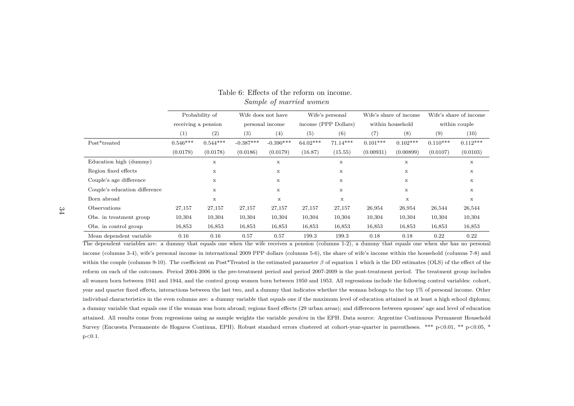|                               | Probability of      |             | Wife does not have |                 | Wife's personal |                      |            | Wife's share of income | Wife's share of income |             |  |
|-------------------------------|---------------------|-------------|--------------------|-----------------|-----------------|----------------------|------------|------------------------|------------------------|-------------|--|
|                               | receiving a pension |             |                    | personal income |                 | income (PPP Dollars) |            | within household       | within couple          |             |  |
|                               | (1)                 | (2)         | (3)                | (4)             | (5)             | (6)                  | (7)        | (8)                    | (9)                    | (10)        |  |
| Post*treated                  | $0.546***$          | $0.544***$  | $-0.387***$        | $-0.390***$     | $64.02***$      | $71.14***$           | $0.101***$ | $0.102***$             | $0.110***$             | $0.112***$  |  |
|                               | (0.0179)            | (0.0178)    | (0.0186)           | (0.0179)        | (16.87)         | (15.55)              | (0.00931)  | (0.00899)              | (0.0107)               | (0.0103)    |  |
| Education high (dummy)        |                     | $\mathbf x$ |                    | X               |                 | X                    |            | $\mathbf x$            |                        | X           |  |
| Region fixed effects          |                     | x           |                    | $\mathbf x$     |                 | $\mathbf x$          |            | x                      |                        | $\mathbf x$ |  |
| Couple's age difference       |                     | X           |                    | X               |                 | $\mathbf x$          |            | $\mathbf x$            |                        | $\mathbf x$ |  |
| Couple's education difference |                     | X           |                    | X               |                 | X                    |            | $\mathbf x$            |                        | X           |  |
| Born abroad                   |                     | x           |                    | X               |                 | $\mathbf x$          |            | X                      |                        | $\mathbf x$ |  |
| Observations                  | 27,157              | 27,157      | 27,157             | 27,157          | 27,157          | 27,157               | 26,954     | 26,954                 | 26,544                 | 26,544      |  |
| Obs. in treatment group       | 10,304              | 10,304      | 10,304             | 10,304          | 10,304          | 10,304               | 10,304     | 10,304                 | 10,304                 | 10,304      |  |
| Obs. in control group         | 16,853              | 16,853      | 16,853             | 16,853          | 16,853          | 16,853               | 16,853     | 16,853                 | 16,853                 | 16,853      |  |
| Mean dependent variable       | 0.16                | 0.16        | 0.57               | 0.57            | 199.3           | 199.3                | 0.18       | 0.18                   | 0.22                   | 0.22        |  |

#### Table 6: Effects of the reform on income.*Sample of married women*

The dependent variables are: <sup>a</sup> dummy that equals one when the wife receives <sup>a</sup> pension (columns 1-2), <sup>a</sup> dummy that equals one when she has no persona<sup>l</sup>income (columns 3-4), wife's persona<sup>l</sup> income in international <sup>2009</sup> PPP dollars (columns 5-6), the share of wife's income within the household (columns 7-8) andwithin the couple (columns 9-10). The coefficient on Post\*Treated is the estimated parameter *β* of equation <sup>1</sup> which is the DD estimates (OLS) of the effect of the reform on each of the outcomes. Period 2004-2006 is the pre-treatment period and period 2007-2009 is the post-treatment period. The treatment group includesall women born between 1941 and 1944, and the control group women born between 1950 and 1953. All regressions include the following control variables: cohort,year and quarter fixed effects, interactions between the last two, and <sup>a</sup> dummy that indicates whether the woman belongs to the top 1% of persona<sup>l</sup> income. Other individual characteristics in the even columns are: <sup>a</sup> dummy variable that equals one if the maximum level of education attained is at least <sup>a</sup> high school diploma;<sup>a</sup> dummy variable that equals one if the woman was born abroad; regions fixed effects (29 urban areas); and differences between spouses' age and level of educationattained. All results come from regressions using as sample weights the variable *pondera* in the EPH. Data source: Argentine Continuous Permanent HouseholdSurvey (Encuesta Permanente de Hogares Continua, EPH). Robust standard errors clustered at cohort-year-quarter in parentheses. \*\*\* p<0.01, \*\* p<0.05, \*  $p < 0.1$ .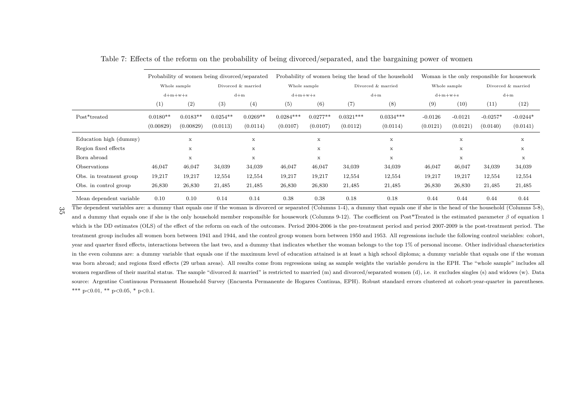|                         |            | Probability of women being divorced/separated |            |                    |              |             |                    | Probability of women being the head of the household |           |              | Woman is the only responsible for housework |                    |
|-------------------------|------------|-----------------------------------------------|------------|--------------------|--------------|-------------|--------------------|------------------------------------------------------|-----------|--------------|---------------------------------------------|--------------------|
|                         |            | Whole sample                                  |            | Divorced & married | Whole sample |             | Divorced & married |                                                      |           | Whole sample |                                             | Divorced & married |
|                         |            | $d+m+w+s$                                     |            | $d+m$              | $d+m+w+s$    |             |                    | $d+m$                                                | $d+m+w+s$ |              | $d+m$                                       |                    |
|                         | (1)        | (2)                                           | (3)        | (4)                | (5)          | (6)         | (7)                | (8)                                                  | (9)       | (10)         | (11)                                        | (12)               |
| Post*treated            | $0.0180**$ | $0.0183**$                                    | $0.0254**$ | $0.0269**$         | $0.0284***$  | $0.0277**$  | $0.0321***$        | $0.0334***$                                          | $-0.0126$ | $-0.0121$    | $-0.0257*$                                  | $-0.0244*$         |
|                         | (0.00829)  | (0.00829)                                     | (0.0113)   | (0.0114)           | (0.0107)     | (0.0107)    | (0.0112)           | (0.0114)                                             | (0.0121)  | (0.0121)     | (0.0140)                                    | (0.0141)           |
| Education high (dummy)  |            | $\mathbf x$                                   |            | X                  |              | $\mathbf x$ |                    | x                                                    |           | x            |                                             | X                  |
| Region fixed effects    |            | $\mathbf x$                                   |            | X                  |              | $\mathbf x$ |                    | x                                                    |           | X            |                                             | X                  |
| Born abroad             |            | X                                             |            | x                  |              | $\mathbf x$ |                    | x                                                    |           | $\mathbf x$  |                                             | $\mathbf x$        |
| Observations            | 46,047     | 46,047                                        | 34,039     | 34,039             | 46,047       | 46,047      | 34,039             | 34,039                                               | 46,047    | 46,047       | 34,039                                      | 34,039             |
| Obs. in treatment group | 19,217     | 19,217                                        | 12,554     | 12,554             | 19,217       | 19,217      | 12,554             | 12,554                                               | 19,217    | 19,217       | 12,554                                      | 12,554             |
| Obs. in control group   | 26,830     | 26,830                                        | 21,485     | 21,485             | 26,830       | 26,830      | 21,485             | 21,485                                               | 26,830    | 26,830       | 21,485                                      | 21,485             |
| Mean dependent variable | 0.10       | 0.10                                          | 0.14       | 0.14               | 0.38         | 0.38        | 0.18               | 0.18                                                 | 0.44      | 0.44         | 0.44                                        | 0.44               |

Table 7: Effects of the reform on the probability of being divorced/separated, and the bargaining power of women

The dependent variables are: a dummy that equals one if the woman is divorced or separated (Columns 1-4), a dummy that equals one if she is the head of the household (Columns 5-8), and <sup>a</sup> dummy that equals one if she is the only household member responsible for housework (Columns 9-12). The coefficient on Post\*Treated is the estimated parameter*β* of equation <sup>1</sup> which is the DD estimates (OLS) of the effect of the reform on each of the outcomes. Period 2004-2006 is the pre-treatment period and period 2007-2009 is the post-treatment period. The treatment group includes all women born between 1941 and 1944, and the control group women born between <sup>1950</sup> and 1953. All regressions include the following control variables: cohort, year and quarter fixed effects, interactions between the last two, and <sup>a</sup> dummy that indicates whether the woman belongs to the top 1% of personal income. Other individual characteristicsin the even columns are: <sup>a</sup> dummy variable that equals one if the maximum level of education attained is at least <sup>a</sup> high school diploma; <sup>a</sup> dummy variable that equals one if the womanwas born abroad; and regions fixed effects (29 urban areas). All results come from regressions using as sample weights the variable *pondera* in the EPH. The "whole sample" includes all women regardless of their marital status. The sample "divorced & married" is restricted to married (m) and divorced/separated women (d), i.e. it excludes singles (s) and widows (w). Data source: Argentine Continuous Permanent Household Survey (Encuesta Permanente de Hogares Continua, EPH). Robust standard errors clustered at cohort-year-quarter in parentheses.\*\*\* p<0.01, \*\* p<0.05, \* p<0.1.

 $\frac{35}{5}$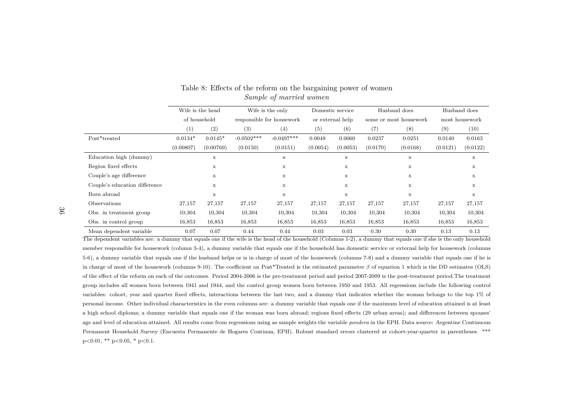|                               |              | Wife is the head |              | Wife is the only          | Domestic service |                  |          | Husband does           | Husband does   |          |
|-------------------------------|--------------|------------------|--------------|---------------------------|------------------|------------------|----------|------------------------|----------------|----------|
|                               | of household |                  |              | responsible for housework |                  | or external help |          | some or most housework | most housework |          |
|                               | (1)          | (2)              | (3)          | (4)                       | (5)              | (6)              | (7)      | (8)                    | (9)            | (10)     |
| Post*treated                  | $0.0134*$    | $0.0145*$        | $-0.0502***$ | $-0.0497***$              | 0.0049           | 0.0060           | 0.0237   | 0.0251                 | 0.0140         | 0.0163   |
|                               | (0.00807)    | (0.00769)        | (0.0150)     | (0.0151)                  | (0.0054)         | (0.0053)         | (0.0170) | (0.0168)               | (0.0121)       | (0.0122) |
| Education high (dummy)        |              | $\mathbf x$      |              | x                         |                  | $\mathbf x$      |          | х                      |                | x        |
| Region fixed effects          |              | x                |              | x                         |                  | $\mathbf x$      |          | $\mathbf x$            |                | х        |
| Couple's age difference       |              | x                |              | x                         |                  | $\mathbf x$      |          | $\mathbf x$            |                | х        |
| Couple's education difference |              | $\mathbf x$      |              | X                         |                  | $\mathbf x$      |          | $\mathbf x$            |                | x        |
| Born abroad                   |              | X                |              | $\mathbf x$               |                  | X                |          | х                      |                | x        |
| Observations                  | 27,157       | 27,157           | 27,157       | 27,157                    | 27,157           | 27,157           | 27,157   | 27,157                 | 27,157         | 27,157   |
| Obs. in treatment group       | 10,304       | 10,304           | 10,304       | 10,304                    | 10,304           | 10,304           | 10,304   | 10,304                 | 10,304         | 10,304   |
| Obs. in control group         | 16,853       | 16,853           | 16,853       | 16,853                    | 16,853           | 16,853           | 16,853   | 16,853                 | 16,853         | 16,853   |
| Mean dependent variable       | 0.07         | 0.07             | 0.44         | 0.44                      | 0.03             | 0.03             | 0.30     | 0.30                   | 0.13           | 0.13     |

#### Table 8: Effects of the reform on the bargaining power of women*Sample of married women*

The dependent variables are: <sup>a</sup> dummy that equals one if the wife is the head of the household (Columns 1-2), <sup>a</sup> dummy that equals one if she is the only householdmember responsible for housework (column 3-4), <sup>a</sup> dummy variable that equals one if the household has domestic service or external help for housework (columns5-6), <sup>a</sup> dummy variable that equals one if the husband helps or is in charge of most of the housework (columns 7-8) and <sup>a</sup> dummy variable that equals one if he isin charge of most of the housework (columns 9-10). The coefficient on Post\*Treated is the estimated parameter*β* of equation <sup>1</sup> which is the DD estimates (OLS) of the effect of the reform on each of the outcomes. Period 2004-2006 is the pre-treatment period and period 2007-2009 is the post-treatment period.The treatmentgroup includes all women born between 1941 and 1944, and the control group women born between 1950 and 1953. All regressions include the following controlvariables: cohort, year and quarter fixed effects, interactions between the last two, and <sup>a</sup> dummy that indicates whether the woman belongs to the top 1% ofpersonal income. Other individual characteristics in the even columns are: <sup>a</sup> dummy variable that equals one if the maximum level of education attained is at least<sup>a</sup> high school diploma; <sup>a</sup> dummy variable that equals one if the woman was born abroad; regions fixed effects (29 urban areas); and differences between spouses'age and level of education attained. All results come from regressions using as sample weights the variable *pondera* in the EPH. Data source: Argentine Continuous Permanent Household Survey (Encuesta Permanente de Hogares Continua, EPH). Robust standard errors clustered at cohort-year-quarter in parentheses. \*\*\* $p<0.01$ , \*\*  $p<0.05$ , \*  $p<0.1$ .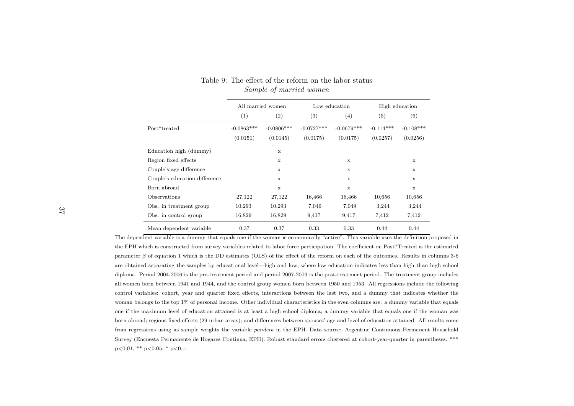|                               |              | All married women |              | Low education | High education |             |  |
|-------------------------------|--------------|-------------------|--------------|---------------|----------------|-------------|--|
|                               | (1)          | (2)               | (3)          | (4)           | (5)            | (6)         |  |
| Post*treated                  | $-0.0863***$ | $-0.0806***$      | $-0.0727***$ | $-0.0679***$  | $-0.114***$    | $-0.108***$ |  |
|                               | (0.0151)     | (0.0145)          | (0.0175)     | (0.0175)      | (0.0257)       | (0.0256)    |  |
| Education high (dummy)        |              | $\mathbf x$       |              |               |                |             |  |
| Region fixed effects          |              | X                 |              | X             |                | $\mathbf x$ |  |
| Couple's age difference       |              | X                 |              | X             |                | X           |  |
| Couple's education difference |              | $\mathbf{x}$      |              | $\mathbf x$   |                | $\mathbf x$ |  |
| Born abroad                   |              | X                 |              | $\mathbf x$   |                | X           |  |
| Observations                  | 27,122       | 27,122            | 16,466       | 16,466        | 10,656         | 10,656      |  |
| Obs. in treatment group       | 10,293       | 10,293            | 7,049        | 7,049         | 3,244          | 3,244       |  |
| Obs. in control group         | 16,829       | 16,829            | 9,417        | 9,417         | 7,412          | 7,412       |  |
| Mean dependent variable       | 0.37         | 0.37              | 0.33         | 0.33          | 0.44           | 0.44        |  |

#### Table 9: The effect of the reform on the labor status*Sample of married women*

The dependent variable is <sup>a</sup> dummy that equals one if the woman is economically "active". This variable uses the definition proposed inthe EPH which is constructed from survey variables related to labor force participation. The coefficient on Post\*Treated is the estimatedparameter *β* of equation <sup>1</sup> which is the DD estimates (OLS) of the effect of the reform on each of the outcomes. Results in columns 3-6 are obtained separating the samples by educational level—high and low, where low education indicates less than high than high schooldiploma. Period 2004-2006 is the pre-treatment period and period 2007-2009 is the post-treatment period. The treatment group includesall women born between 1941 and 1944, and the control group women born between 1950 and 1953. All regressions include the followingcontrol variables: cohort, year and quarter fixed effects, interactions between the last two, and <sup>a</sup> dummy that indicates whether thewoman belongs to the top 1% of personal income. Other individual characteristics in the even columns are: <sup>a</sup> dummy variable that equalsone if the maximum level of education attained is at least <sup>a</sup> high school diploma; <sup>a</sup> dummy variable that equals one if the woman wasborn abroad; regions fixed effects (29 urban areas); and differences between spouses' age and level of education attained. All results comefrom regressions using as sample weights the variable *pondera* in the EPH. Data source: Argentine Continuous Permanent HouseholdSurvey (Encuesta Permanente de Hogares Continua, EPH). Robust standard errors clustered at cohort-year-quarter in parentheses. \*\*\* $p<0.01$ , \*\*  $p<0.05$ , \*  $p<0.1$ .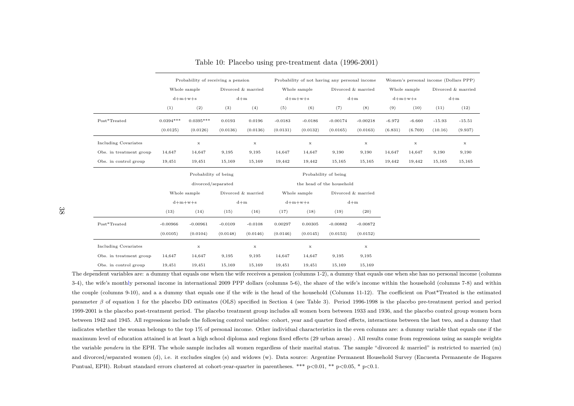|                             |                      | Probability of receiving a pension |           |                    |           |                           | Probability of not having any personal income |                    | Women's personal income (Dollars PPP) |              |          |                    |  |
|-----------------------------|----------------------|------------------------------------|-----------|--------------------|-----------|---------------------------|-----------------------------------------------|--------------------|---------------------------------------|--------------|----------|--------------------|--|
|                             |                      | Whole sample                       |           | Divorced & married |           | Whole sample              |                                               | Divorced & married |                                       | Whole sample |          | Divorced & married |  |
|                             |                      | $d+m+w+s$                          |           | $d+m$              |           | $d+m+w+s$                 |                                               | $d+m$              |                                       | $d+m+w+s$    |          | $d+m$              |  |
|                             | (1)                  | (2)                                | (3)       | (4)                | (5)       | (6)                       | (7)                                           | (8)                | (9)                                   | (10)         | (11)     | (12)               |  |
| Post*Treated                | $0.0394***$          | $0.0395***$                        | 0.0193    | 0.0196             | $-0.0183$ | $-0.0186$                 | $-0.00174$                                    | $-0.00218$         | $-6.972$                              | $-6.660$     | $-15.93$ | $-15.51$           |  |
|                             | (0.0125)             | (0.0126)                           | (0.0136)  | (0.0136)           | (0.0131)  | (0.0132)                  | (0.0165)                                      | (0.0163)           | (6.831)                               | (6.769)      | (10.16)  | (9.937)            |  |
| <b>Including Covariates</b> |                      | $\mathbf x$                        |           | $\mathbf x$        |           | $\mathbf x$               |                                               | $\mathbf x$        |                                       | $\bf x$      |          | $\mathbf x$        |  |
| Obs. in treatment group     | 14,647               | 14,647                             | 9,195     | 9,195              | 14,647    | 14,647                    | 9,190                                         | 9,190              | 14,647                                | 14,647       | 9,190    | 9,190              |  |
| Obs. in control group       | 19,451               | 19,451                             | 15,169    | 15,169             | 19,442    | 19,442                    | 15,165                                        | 15,165             | 19,442                                | 19,442       | 15,165   | 15,165             |  |
|                             | Probability of being |                                    |           |                    |           |                           | Probability of being                          |                    |                                       |              |          |                    |  |
|                             |                      | divorced/separated                 |           |                    |           | the head of the household |                                               |                    |                                       |              |          |                    |  |
|                             |                      | Whole sample                       |           | Divorced & married |           | Whole sample              |                                               |                    |                                       |              |          |                    |  |
|                             |                      | $d+m+w+s$                          |           | $d+m$              |           | $d+m+w+s$                 | $d+m$                                         |                    |                                       |              |          |                    |  |
|                             | (13)                 | (14)                               | (15)      | (16)               | (17)      | (18)                      | (19)                                          | (20)               |                                       |              |          |                    |  |
| Post*Treated                | $-0.00966$           | $-0.00961$                         | $-0.0109$ | $-0.0108$          | 0.00297   | 0.00305                   | $-0.00882$                                    | $-0.00872$         |                                       |              |          |                    |  |
|                             | (0.0105)             | (0.0104)                           | (0.0148)  | (0.0146)           | (0.0146)  | (0.0145)                  | (0.0153)                                      | (0.0152)           |                                       |              |          |                    |  |
| <b>Including Covariates</b> |                      | $\mathbf x$                        |           | $\mathbf x$        |           | $\mathbf x$               |                                               | $\mathbf x$        |                                       |              |          |                    |  |
| Obs. in treatment group     | 14,647               | 14,647                             | 9,195     | 9,195              | 14,647    | 14,647                    | 9,195                                         | 9,195              |                                       |              |          |                    |  |
| Obs. in control group       | 19,451               | 19,451                             | 15,169    | 15,169             | 19,451    | 19,451                    | 15,169                                        | 15,169             |                                       |              |          |                    |  |

Table 10: Placebo using pre-treatment data (1996-2001)

The dependent variables are: <sup>a</sup> dummy that equals one when the wife receives <sup>a</sup> pension (columns 1-2), <sup>a</sup> dummy that equals one when she has no persona<sup>l</sup> income (columns3-4), the wife's monthly persona<sup>l</sup> income in international <sup>2009</sup> PPP dollars (columns 5-6), the share of the wife's income within the household (columns 7-8) and within the couple (columns 9-10), and <sup>a</sup> <sup>a</sup> dummy that equals one if the wife is the head of the household (Columns 11-12). The coefficient on Post\*Treated is the estimatedparameter*β* of equation <sup>1</sup> for the <sup>p</sup>lacebo DD estimates (OLS) specified in Section <sup>4</sup> (see Table 3). Period 1996-1998 is the <sup>p</sup>lacebo pre-treatment period and period 1999-2001 is the placebo post-treatment period. The placebo treatment group includes all women born between 1933 and 1936, and the placebo control group women bornbetween 1942 and 1945. All regressions include the following control variables: cohort, year and quarter fixed effects, interactions between the last two, and <sup>a</sup> dummy thatindicates whether the woman belongs to the top 1% of personal income. Other individual characteristics in the even columns are: <sup>a</sup> dummy variable that equals one if themaximum level of education attained is at least <sup>a</sup> high school diploma and regions fixed effects (29 urban areas) . All results come from regressions using as sample weightsthe variable *pondera* in the EPH. The whole sample includes all women regardless of their marital status. The sample "divorced & married" is restricted to married (m) and divorced/separated women (d), i.e. it excludes singles (s) and widows (w). Data source: Argentine Permanent Household Survey (Encuesta Permanente de Hogares Puntual, EPH). Robust standard errors clustered at cohort-year-quarter in parentheses. \*\*\* p<0.01, \*\* p<0.05, \* p<0.1.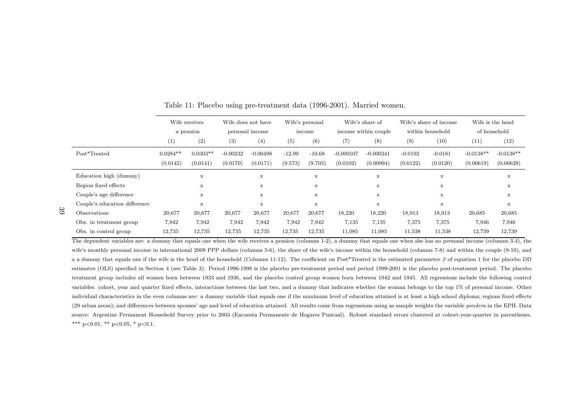|                               | Wife receives<br>a pension |                        | Wife does not have<br>personal income |                        | Wife's personal<br>income |                     | Wife's share of<br>income within couple |                          | Wife's share of income<br>within household |                       | Wife is the head<br>of household |                          |
|-------------------------------|----------------------------|------------------------|---------------------------------------|------------------------|---------------------------|---------------------|-----------------------------------------|--------------------------|--------------------------------------------|-----------------------|----------------------------------|--------------------------|
|                               | (1)                        | (2)                    | (3)                                   | (4)                    | (5)                       | (6)                 | (7)                                     | (8)                      | (9)                                        | $^{(10)}$             | (11)                             | (12)                     |
| Post*Treated                  | $0.0284**$<br>(0.0142)     | $0.0303**$<br>(0.0141) | $-0.00232$<br>(0.0170)                | $-0.00498$<br>(0.0171) | $-12.99$<br>(9.573)       | $-10.68$<br>(9.703) | $-0.000107$<br>(0.0102)                 | $-0.000341$<br>(0.00994) | $-0.0192$<br>(0.0122)                      | $-0.0181$<br>(0.0120) | $-0.0138**$<br>(0.00619)         | $-0.0138**$<br>(0.00629) |
| Education high (dummy)        |                            | $\mathbf x$            |                                       | $\mathbf x$            |                           | X                   |                                         | $\mathbf x$              |                                            | X                     |                                  | X                        |
| Region fixed effects          |                            | $\mathbf x$            |                                       | $\mathbf x$            |                           | x                   |                                         | $\mathbf x$              |                                            | $\mathbf x$           |                                  | X                        |
| Couple's age difference       |                            | $\mathbf x$            |                                       | $\mathbf x$            |                           | x                   |                                         | $\mathbf x$              |                                            | $\mathbf x$           |                                  | X                        |
| Couple's education difference |                            | $\mathbf x$            |                                       | $\mathbf x$            |                           | $\mathbf x$         |                                         | $\mathbf x$              |                                            | $\mathbf x$           |                                  | $\mathbf x$              |
| Observations                  | 20,677                     | 20,677                 | 20,677                                | 20,677                 | 20,677                    | 20,677              | 18,220                                  | 18,220                   | 18,913                                     | 18,913                | 20,685                           | 20,685                   |
| Obs. in treatment group       | 7,942                      | 7,942                  | 7,942                                 | 7,942                  | 7,942                     | 7,942               | 7,135                                   | 7,135                    | 7,375                                      | 7,375                 | 7,946                            | 7,946                    |
| Obs. in control group         | 12,735                     | 12,735                 | 12,735                                | 12,735                 | 12,735                    | 12,735              | 11,085                                  | 11,085                   | 11,538                                     | 11,538                | 12,739                           | 12,739                   |

Table 11: Placebo using pre-treatment data (1996-2001). Married women.

The dependent variables are: <sup>a</sup> dummy that equals one when the wife receives <sup>a</sup> pension (columns 1-2), <sup>a</sup> dummy that equals one when she has no persona<sup>l</sup> income (columns 3-4), thewife's monthly personal income in international 2009 PPP dollars (columns 5-6), the share of the wife's income within the household (columns 7-8) and within the couple (9-10), and a a dummy that equals one if the wife is the head of the household (Columns 11-12). The coefficient on Post\*Treated is the estimated parameter  $\beta$  of equation 1 for the placebo DD estimates (OLS) specified in Section <sup>4</sup> (see Table 3). Period 1996-1998 is the <sup>p</sup>lacebo pre-treatment period and period 1999-2001 is the <sup>p</sup>lacebo post-treatment period. The <sup>p</sup>lacebo treatment group includes all women born between 1933 and 1936, and the <sup>p</sup>lacebo control group women born between 1942 and 1945. All regressions include the following controlvariables: cohort, year and quarter fixed effects, interactions between the last two, and <sup>a</sup> dummy that indicates whether the woman belongs to the top 1% of personal income. Otherindividual characteristics in the even columns are: <sup>a</sup> dummy variable that equals one if the maximum level of education attained is at least <sup>a</sup> high school diploma; regions fixed effects(29 urban areas); and differences between spouses' age and level of education attained. All results come from regressions using as sample weights the variable *pondera* in the EPH. Data source: Argentine Permanent Household Survey prior to <sup>2003</sup> (Encuesta Permanente de Hogares Puntual). Robust standard errors clustered at cohort-year-quarter in parentheses. \*\*\* p<0.01, \*\* p<0.05, \* p<0.1.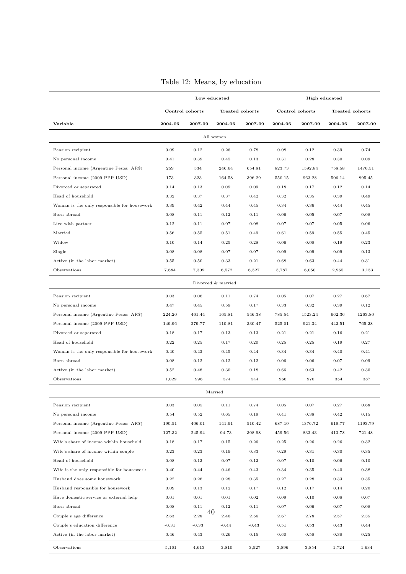|  |  |  |  | Table 12: Means, by education |
|--|--|--|--|-------------------------------|
|--|--|--|--|-------------------------------|

|                                             |            |                 | Low educated       |         | High educated |                 |                 |         |  |  |
|---------------------------------------------|------------|-----------------|--------------------|---------|---------------|-----------------|-----------------|---------|--|--|
|                                             |            | Control cohorts | Treated cohorts    |         |               | Control cohorts | Treated cohorts |         |  |  |
| Variable                                    | 2004-06    | 2007-09         | 2004-06            | 2007-09 | 2004-06       | 2007-09         | 2004-06         | 2007-09 |  |  |
|                                             |            |                 | All women          |         |               |                 |                 |         |  |  |
| Pension recipient                           | 0.09       | 0.12            | 0.26               | 0.78    | 0.08          | 0.12            | 0.39            | 0.74    |  |  |
| No personal income                          | 0.41       | 0.39            | 0.45               | 0.13    | 0.31          | 0.28            | 0.30            | 0.09    |  |  |
| Personal income (Argentine Pesos: AR\$)     | 259        | 534             | 246.64             | 654.81  | 823.73        | 1592.84         | 758.58          | 1476.51 |  |  |
| Personal income (2009 PPP USD)              | 173        | 323             | 164.58             | 396.29  | 550.15        | 963.28          | 506.14          | 895.45  |  |  |
| Divorced or separated                       | 0.14       | 0.13            | 0.09               | 0.09    | 0.18          | 0.17            | 0.12            | 0.14    |  |  |
| Head of household                           | 0.32       | 0.37            | 0.37               | 0.42    | 0.32          | 0.35            | 0.39            | 0.49    |  |  |
| Woman is the only responsible for housework | 0.39       | 0.42            | 0.44               | 0.45    | 0.34          | 0.36            | 0.44            | 0.45    |  |  |
| Born abroad                                 | 0.08       | 0.11            | 0.12               | 0.11    | 0.06          | 0.05            | 0.07            | 0.08    |  |  |
| Live with partner                           | 0.12       | 0.11            | 0.07               | 0.08    | 0.07          | 0.07            | 0.05            | 0.06    |  |  |
| Married                                     | 0.56       | 0.55            | 0.51               | 0.49    | 0.61          | 0.59            | 0.55            | 0.45    |  |  |
| Widow                                       | 0.10       | 0.14            | 0.25               | 0.28    | 0.06          | 0.08            | 0.19            | 0.23    |  |  |
| Single                                      | 0.08       | 0.08            | 0.07               | 0.07    | 0.09          | 0.09            | 0.09            | 0.13    |  |  |
| Active (in the labor market)                | 0.55       | 0.50            | 0.33               | 0.21    | 0.68          | 0.63            | 0.44            | 0.31    |  |  |
| Observations                                | 7,684      | 7,309           | 6,572              | 6,527   | 5,787         | 6,050           | 2,965           | 3,153   |  |  |
|                                             |            |                 | Divorced & married |         |               |                 |                 |         |  |  |
| Pension recipient                           | 0.03       | 0.06            | 0.11               | 0.74    | 0.05          | 0.07            | 0.27            | 0.67    |  |  |
| No personal income                          | 0.47       | 0.45            | 0.59               | 0.17    | 0.33          | 0.32            | 0.39            | 0.12    |  |  |
| Personal income (Argentine Pesos: AR\$)     | 224.20     | 461.44          | 165.81             | 546.38  | 785.54        | 1523.24         | 662.36          | 1263.80 |  |  |
| Personal income (2009 PPP USD)              | 149.96     | 279.77          | 110.81             | 330.47  | 525.01        | 921.34          | 442.51          | 765.28  |  |  |
| Divorced or separated                       | 0.18       | 0.17            | 0.13               | 0.13    | 0.21          | 0.21            | 0.16            | 0.21    |  |  |
| Head of household                           | 0.22       | 0.25            | 0.17               | 0.20    | 0.25          | 0.25            | 0.19            | 0.27    |  |  |
| Woman is the only responsible for housework | 0.40       | 0.43            | 0.45               | 0.44    | 0.34          | 0.34            | 0.40            | 0.41    |  |  |
| Born abroad                                 | 0.08       | 0.12            | 0.12               | 0.12    | 0.06          | 0.06            | 0.07            | 0.09    |  |  |
| Active (in the labor market)                | 0.52       | 0.48            | 0.30               | 0.18    | 0.66          | 0.63            | 0.42            | 0.30    |  |  |
| Observations                                | 1,029      | 996             | 574                | 544     | 966           | 970             | 354             | 387     |  |  |
|                                             |            |                 | Married            |         |               |                 |                 |         |  |  |
| Pension recipient                           | $\rm 0.03$ | 0.05            | 0.11               | 0.74    | 0.05          | 0.07            | 0.27            | 0.68    |  |  |
| No personal income                          | 0.54       | 0.52            | 0.65               | 0.19    | 0.41          | 0.38            | 0.42            | 0.15    |  |  |
| Personal income (Argentine Pesos: AR\$)     | 190.51     | 406.01          | 141.91             | 510.42  | 687.10        | 1376.72         | 619.77          | 1193.79 |  |  |
| Personal income (2009 PPP USD)              | 127.32     | 245.94          | 94.73              | 308.98  | 459.56        | 833.43          | 413.78          | 721.48  |  |  |
| Wife's share of income within household     | 0.18       | 0.17            | 0.15               | 0.26    | 0.25          | 0.26            | 0.26            | 0.32    |  |  |
| Wife's share of income within couple        | 0.23       | 0.23            | 0.19               | 0.33    | 0.29          | 0.31            | 0.30            | 0.35    |  |  |
| Head of household                           | 0.08       | 0.12            | 0.07               | 0.12    | 0.07          | 0.10            | 0.06            | 0.10    |  |  |
| Wife is the only responsible for housework  | 0.40       | 0.44            | 0.46               | 0.43    | 0.34          | 0.35            | 0.40            | 0.38    |  |  |
| Husband does some housework                 | $0.22\,$   | 0.26            | 0.28               | 0.35    | 0.27          | 0.28            | 0.33            | 0.35    |  |  |
| Husband responsible for housework           | 0.09       | 0.13            | 0.12               | 0.17    | 0.12          | 0.17            | 0.14            | 0.20    |  |  |
| Have domestic service or external help      | 0.01       | 0.01            | 0.01               | 0.02    | 0.09          | 0.10            | 0.08            | 0.07    |  |  |
| Born abroad                                 | 0.08       | 0.11            | 0.12               | 0.11    | 0.07          | 0.06            | 0.07            | 0.08    |  |  |
| Couple's age difference                     | 2.63       | 40<br>2.28      | 2.46               | 2.56    | 2.67          | 2.78            | 2.57            | 2.35    |  |  |
| Couple's education difference               | $-0.31$    | $-0.33$         | $-0.44$            | $-0.43$ | 0.51          | 0.53            | 0.43            | 0.44    |  |  |
| Active (in the labor market)                | 0.46       | 0.43            | 0.26               | 0.15    | 0.60          | 0.58            | 0.38            | 0.25    |  |  |
|                                             |            |                 |                    |         |               |                 |                 |         |  |  |
| Observations                                | 5,161      | 4,613           | 3,810              | 3,527   | 3,896         | 3,854           | 1,724           | 1,634   |  |  |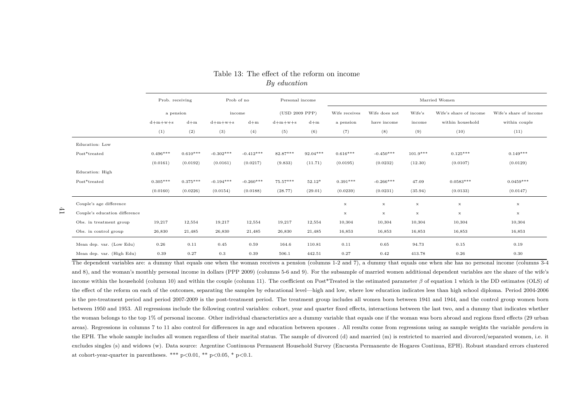|                               | Prob of no<br>Prob. receiving |            |             |             | Personal income |            | Married Women |               |             |                        |                        |  |  |  |
|-------------------------------|-------------------------------|------------|-------------|-------------|-----------------|------------|---------------|---------------|-------------|------------------------|------------------------|--|--|--|
|                               | a pension                     |            | income      |             | (USD 2009 PPP)  |            | Wife receives | Wife does not | Wife's      | Wife's share of income | Wife's share of income |  |  |  |
|                               | $d+m+w+s$                     | $d+m$      | $d+m+w+s$   | $d+m$       | $d+m+w+s$       | $d+m$      | a pension     | have income   | income      | within household       | within couple          |  |  |  |
|                               | (1)                           | (2)        | (3)         | (4)         | (5)             | (6)        | (7)           | (8)           | (9)         | (10)                   | (11)                   |  |  |  |
| Education: Low                |                               |            |             |             |                 |            |               |               |             |                        |                        |  |  |  |
| Post*treated                  | $0.496***$                    | $0.610***$ | $-0.302***$ | $-0.412***$ | 82.87***        | $92.04***$ | $0.616***$    | $-0.450***$   | $101.9***$  | $0.125***$             | $0.149***$             |  |  |  |
|                               | (0.0161)                      | (0.0192)   | (0.0161)    | (0.0217)    | (9.833)         | (11.71)    | (0.0195)      | (0.0232)      | (12.30)     | (0.0107)               | (0.0129)               |  |  |  |
| Education: High               |                               |            |             |             |                 |            |               |               |             |                        |                        |  |  |  |
| Post*treated                  | $0.305***$                    | $0.375***$ | $-0.194***$ | $-0.260***$ | 75.57***        | $52.12*$   | $0.391***$    | $-0.266***$   | 47.09       | $0.0583***$            | $0.0459***$            |  |  |  |
|                               | (0.0160)                      | (0.0226)   | (0.0154)    | (0.0188)    | (28.77)         | (29.01)    | (0.0239)      | (0.0231)      | (35.94)     | (0.0133)               | (0.0147)               |  |  |  |
| Couple's age difference       |                               |            |             |             |                 |            | $\mathbf x$   | $\mathbf x$   | $\mathbf x$ | $\mathbf x$            | $\mathbf x$            |  |  |  |
| Couple's education difference |                               |            |             |             |                 |            | $\mathbf x$   | $\mathbf x$   | $\mathbf x$ | $\mathbf x$            | $\mathbf x$            |  |  |  |
| Obs. in treatment group       | 19,217                        | 12,554     | 19,217      | 12,554      | 19,217          | 12,554     | 10,304        | 10,304        | 10,304      | 10,304                 | 10,304                 |  |  |  |
| Obs. in control group         | 26,830                        | 21,485     | 26,830      | 21,485      | 26,830          | 21,485     | 16,853        | 16,853        | 16,853      | 16,853                 | 16,853                 |  |  |  |
| Mean dep. var. (Low Edu)      | 0.26                          | 0.11       | 0.45        | 0.59        | 164.6           | 110.81     | 0.11          | 0.65          | 94.73       | 0.15                   | 0.19                   |  |  |  |
| Mean dep. var. (High Edu)     | 0.39                          | 0.27       | 0.3         | 0.39        | 506.1           | 442.51     | 0.27          | 0.42          | 413.78      | 0.26                   | 0.30                   |  |  |  |

Table 13: The effect of the reform on income*By education*

41

The dependent variables are: a dummy that equals one when the woman receives a pension (columns 1-2 and 7), a dummy that equals one when she has no personal income (columns 3-4 and 8), and the woman's monthly persona<sup>l</sup> income in dollars (PPP 2009) (columns 5-6 and 9). For the subsample of married women additional dependent variables are the share of the wife's income within the household (column 10) and within the couple (column 11). The coefficient on Post\*Treated is the estimated parameter  $\beta$  of equation 1 which is the DD estimates (OLS) of the effect of the reform on each of the outcomes, separating the samples by educational level—high and low, where low education indicates less than high school diploma. Period 2004-2006is the pre-treatment period and period 2007-2009 is the post-treatment period. The treatment group includes all women born between 1941 and 1944, and the control group women bornbetween 1950 and 1953. All regressions include the following control variables: cohort, year and quarter fixed effects, interactions between the last two, and <sup>a</sup> dummy that indicates whetherthe woman belongs to the top 1% of personal income. Other individual characteristics are a dummy variable that equals one if the woman was born abroad and regions fixed effects (29 urban areas). Regressions in columns <sup>7</sup> to <sup>11</sup> also control for differences in age and education between spouses . All results come from regressions using as sample weights the variable *pondera* inthe EPH. The whole sample includes all women regardless of their marital status. The sample of divorced (d) and married (m) is restricted to married and divorced/separated women, i.e. itexcludes singles (s) and widows (w). Data source: Argentine Continuous Permanent Household Survey (Encuesta Permanente de Hogares Continua, EPH). Robust standard errors clusteredat cohort-year-quarter in parentheses. \*\*\*  $p<0.01$ , \*\*  $p<0.05$ , \*  $p<0.1$ .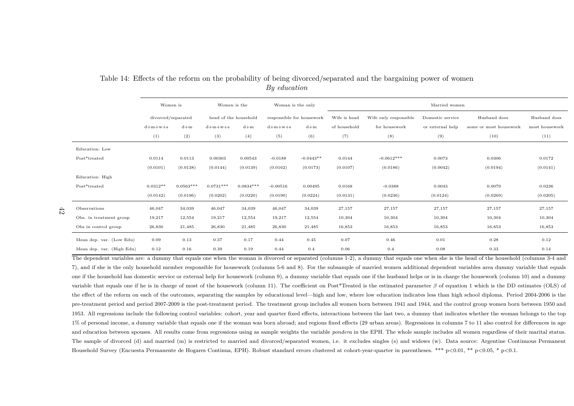|                           | Women is the<br>Women is<br>Woman is the only |             |                       |             | Married women             |             |              |                       |                  |                        |                |  |  |
|---------------------------|-----------------------------------------------|-------------|-----------------------|-------------|---------------------------|-------------|--------------|-----------------------|------------------|------------------------|----------------|--|--|
|                           | divorced/separated                            |             | head of the household |             | responsible for housework |             | Wife is head | Wife only responsible | Domestic service | Husband does           | Husband does   |  |  |
|                           | $d+m+w+s$                                     | $d+m$       | $d+m+w+s$             | $d+m$       | $d+m+w+s$                 | $d+m$       | of household | for housework         | or external help | some or most housework | most housework |  |  |
|                           | (1)                                           | (2)         | (3)                   | (4)         | (5)                       | (6)         | (7)          | (8)                   | (9)              | (10)                   | (11)           |  |  |
| Education: Low            |                                               |             |                       |             |                           |             |              |                       |                  |                        |                |  |  |
| Post*treated              | 0.0114                                        | 0.0113      | 0.00303               | 0.00543     | $-0.0188$                 | $-0.0443**$ | 0.0144       | $-0.0612***$          | 0.0073           | 0.0306                 | 0.0172         |  |  |
|                           | (0.0101)                                      | (0.0138)    | (0.0144)              | (0.0139)    | (0.0162)                  | (0.0173)    | (0.0107)     | (0.0186)              | (0.0042)         | (0.0194)               | (0.0141)       |  |  |
| Education: High           |                                               |             |                       |             |                           |             |              |                       |                  |                        |                |  |  |
| Post*treated              | $0.0312**$                                    | $0.0563***$ | $0.0731***$           | $0.0834***$ | $-0.00516$                | 0.00495     | 0.0168       | $-0.0388$             | 0.0043           | 0.0079                 | 0.0236         |  |  |
|                           | (0.0142)                                      | (0.0196)    | (0.0202)              | (0.0220)    | (0.0190)                  | (0.0224)    | (0.0131)     | (0.0236)              | (0.0124)         | (0.0269)               | (0.0205)       |  |  |
| Observations              | 46,047                                        | 34,039      | 46,047                | 34,039      | 46,047                    | 34,039      | 27,157       | 27,157                | 27,157           | 27,157                 | 27,157         |  |  |
| Obs. in treatment group   | 19,217                                        | 12,554      | 19,217                | 12,554      | 19,217                    | 12,554      | 10,304       | 10,304                | 10,304           | 10,304                 | 10,304         |  |  |
| Obs in control group      | 26,830                                        | 21,485      | 26,830                | 21,485      | 26,830                    | 21,485      | 16,853       | 16,853                | 16,853           | 16,853                 | 16,853         |  |  |
| Mean dep. var. (Low Edu)  | 0.09                                          | 0.13        | 0.37                  | 0.17        | 0.44                      | 0.45        | 0.07         | 0.46                  | 0.01             | 0.28                   | 0.12           |  |  |
| Mean dep. var. (High Edu) | 0.12                                          | 0.16        | 0.39                  | 0.19        | 0.44                      | 0.4         | 0.06         | 0.4                   | 0.08             | 0.33                   | 0.14           |  |  |

#### Table 14: Effects of the reform on the probability of being divorced/separated and the bargaining power of women*By education*

The dependent variables are: a dummy that equals one when the woman is divorced or separated (columns 1-2), a dummy that equals one when she is the head of the household (columns 3-4 and 7), and if she is the only household member responsible for housework (columns 5-6 and 8). For the subsample of married women additional dependent variables area dummy variable that equalsone if the household has domestic service or external help for housework (column 9), <sup>a</sup> dummy variable that equals one if the husband helps or is in charge the housework (column 10) and <sup>a</sup> dummyvariable that equals one if he is in charge of most of the housework (column 11). The coefficient on Post\*Treated is the estimated parameter*β* of equation <sup>1</sup> which is the DD estimates (OLS) of the effect of the reform on each of the outcomes, separating the samples by educational level—high and low, where low education indicates less than high school diploma. Period 2004-2006 is thepre-treatment period and period 2007-2009 is the post-treatment period. The treatment group includes all women born between 1941 and 1944, and the control group women born between 1950 and1953. All regressions include the following control variables: cohort, year and quarter fixed effects, interactions between the last two, <sup>a</sup> dummy that indicates whether the woman belongs to the top1% of personal income, a dummy variable that equals one if the woman was born abroad; and regions fixed effects (29 urban areas). Regressions in columns 7 to 11 also control for differences in age and education between spouses. All results come from regressions using as sample weights the variable *pondera* in the EPH. The whole sample includes all women regardless of their marital status. The sample of divorced (d) and married (m) is restricted to married and divorced/separated women, i.e. it excludes singles (s) and widows (w). Data source: Argentine Continuous Permanent Household Survey (Encuesta Permanente de Hogares Continua, EPH). Robust standard errors clustered at cohort-year-quarter in parentheses. \*\*\* p<0.01, \*\* p<0.05, \* p<0.1.

 $t_2$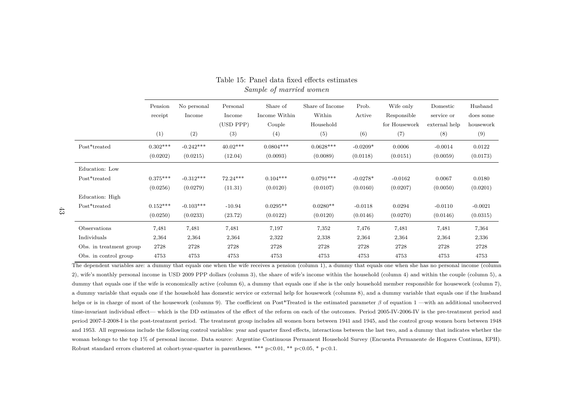| Pension    | No personal | Personal   | Share of      | Share of Income | Prob.      | Wife only     | Domestic      | Husband   |
|------------|-------------|------------|---------------|-----------------|------------|---------------|---------------|-----------|
| receipt    | Income      | Income     | Income Within | Within          | Active     | Responsible   | service or    | does some |
|            |             | (USD PPP)  | Couple        | Household       |            | for Housework | external help | housework |
| (1)        | (2)         | (3)        | (4)           | (5)             | (6)        | (7)           | (8)           | (9)       |
| $0.302***$ | $-0.242***$ | $40.02***$ | $0.0804***$   | $0.0628***$     | $-0.0209*$ | 0.0006        | $-0.0014$     | 0.0122    |
| (0.0202)   | (0.0215)    | (12.04)    | (0.0093)      | (0.0089)        | (0.0118)   | (0.0151)      | (0.0059)      | (0.0173)  |
|            |             |            |               |                 |            |               |               |           |
| $0.375***$ | $-0.312***$ | $72.24***$ | $0.104***$    | $0.0791***$     | $-0.0278*$ | $-0.0162$     | 0.0067        | 0.0180    |
| (0.0256)   | (0.0279)    | (11.31)    | (0.0120)      | (0.0107)        | (0.0160)   | (0.0207)      | (0.0050)      | (0.0201)  |
|            |             |            |               |                 |            |               |               |           |
| $0.152***$ | $-0.103***$ | $-10.94$   | $0.0295**$    | $0.0280**$      | $-0.0118$  | 0.0294        | $-0.0110$     | $-0.0021$ |
| (0.0250)   | (0.0233)    | (23.72)    | (0.0122)      | (0.0120)        | (0.0146)   | (0.0270)      | (0.0146)      | (0.0315)  |
| 7,481      | 7,481       | 7,481      | 7,197         | 7,352           | 7,476      | 7,481         | 7,481         | 7,364     |
| 2,364      | 2,364       | 2,364      | 2,322         | 2,338           | 2,364      | 2,364         | 2,364         | 2,336     |
| 2728       | 2728        | 2728       | 2728          | 2728            | 2728       | 2728          | 2728          | 2728      |
| 4753       | 4753        | 4753       | 4753          | 4753            | 4753       | 4753          | 4753          | 4753      |
|            |             |            |               |                 |            |               |               |           |

Table 15: Panel data fixed effects estimates*Sample of married women*

The dependent variables are: <sup>a</sup> dummy that equals one when the wife receives <sup>a</sup> pension (column 1), <sup>a</sup> dummy that equals one when she has no persona<sup>l</sup> income (column2), wife's monthly persona<sup>l</sup> income in USD <sup>2009</sup> PPP dollars (column 3), the share of wife's income within the household (column 4) and within the couple (column 5), <sup>a</sup>dummy that equals one if the wife is economically active (column 6), a dummy that equals one if she is the only household member responsible for housework (column 7), <sup>a</sup> dummy variable that equals one if the household has domestic service or external help for housework (columns 8), and <sup>a</sup> dummy variable that equals one if the husbandhelps or is in charge of most of the housework (columns 9). The coefficient on Post\*Treated is the estimated parameter *β* of equation <sup>1</sup> —with an additional unobserved time-invariant individual effect— which is the DD estimates of the effect of the reform on each of the outcomes. Period 2005-IV-2006-IV is the pre-treatment period and period 2007-I-2008-I is the post-treatment period. The treatment group includes all women born between 1941 and 1945, and the control group women born between 1948and 1953. All regressions include the following control variables: year and quarter fixed effects, interactions between the last two, and <sup>a</sup> dummy that indicates whether thewoman belongs to the top 1% of persona<sup>l</sup> income. Data source: Argentine Continuous Permanent Household Survey (Encuesta Permanente de Hogares Continua, EPH).Robust standard errors clustered at cohort-year-quarter in parentheses. \*\*\* p<0.01, \*\* p<0.05, \* p<0.1.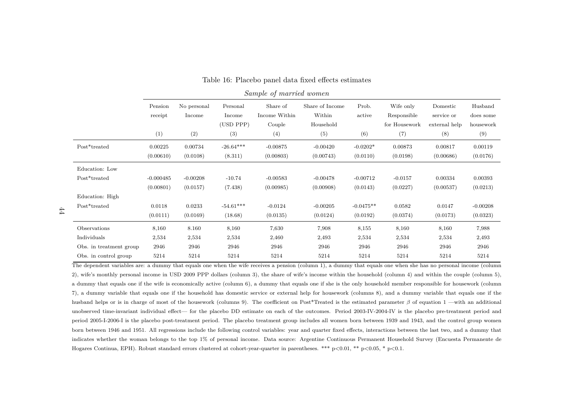|                         | $\mu$ and $\mu$ and $\mu$ and $\mu$ and $\mu$ |                       |                    |                           |                           |                 |                          |                        |                      |  |  |  |
|-------------------------|-----------------------------------------------|-----------------------|--------------------|---------------------------|---------------------------|-----------------|--------------------------|------------------------|----------------------|--|--|--|
|                         | Pension<br>receipt                            | No personal<br>Income | Personal<br>Income | Share of<br>Income Within | Share of Income<br>Within | Prob.<br>active | Wife only<br>Responsible | Domestic<br>service or | Husband<br>does some |  |  |  |
|                         |                                               |                       | (USD PPP)          | Couple                    | Household                 |                 | for Housework            | external help          | housework            |  |  |  |
|                         | (1)                                           | (2)                   | (3)                | (4)                       | (5)                       | (6)             | (7)                      | (8)                    | (9)                  |  |  |  |
| Post*treated            | 0.00225                                       | 0.00734               | $-26.64***$        | $-0.00875$                | $-0.00420$                | $-0.0202*$      | 0.00873                  | 0.00817                | 0.00119              |  |  |  |
|                         | (0.00610)                                     | (0.0108)              | (8.311)            | (0.00803)                 | (0.00743)                 | (0.0110)        | (0.0198)                 | (0.00686)              | (0.0176)             |  |  |  |
| Education: Low          |                                               |                       |                    |                           |                           |                 |                          |                        |                      |  |  |  |
| Post*treated            | $-0.000485$                                   | $-0.00208$            | $-10.74$           | $-0.00583$                | $-0.00478$                | $-0.00712$      | $-0.0157$                | 0.00334                | 0.00393              |  |  |  |
|                         | (0.00801)                                     | (0.0157)              | (7.438)            | (0.00985)                 | (0.00908)                 | (0.0143)        | (0.0227)                 | (0.00537)              | (0.0213)             |  |  |  |
| Education: High         |                                               |                       |                    |                           |                           |                 |                          |                        |                      |  |  |  |
| Post*treated            | 0.0118                                        | 0.0233                | $-54.61***$        | $-0.0124$                 | $-0.00205$                | $-0.0475**$     | 0.0582                   | 0.0147                 | $-0.00208$           |  |  |  |
|                         | (0.0111)                                      | (0.0169)              | (18.68)            | (0.0135)                  | (0.0124)                  | (0.0192)        | (0.0374)                 | (0.0173)               | (0.0323)             |  |  |  |
| Observations            | 8,160                                         | 8.160                 | 8,160              | 7,630                     | 7,908                     | 8,155           | 8,160                    | 8,160                  | 7,988                |  |  |  |
| Individuals             | 2,534                                         | 2,534                 | 2,534              | 2,460                     | 2,493                     | 2,534           | 2,534                    | 2,534                  | 2,493                |  |  |  |
| Obs. in treatment group | 2946                                          | 2946                  | 2946               | 2946                      | 2946                      | 2946            | 2946                     | 2946                   | 2946                 |  |  |  |
| Obs. in control group   | 5214                                          | 5214                  | 5214               | 5214                      | 5214                      | 5214            | 5214                     | 5214                   | 5214                 |  |  |  |

#### Table 16: Placebo panel data fixed effects estimates*Sample of married women*

The dependent variables are: <sup>a</sup> dummy that equals one when the wife receives <sup>a</sup> pension (column 1), <sup>a</sup> dummy that equals one when she has no persona<sup>l</sup> income (column2), wife's monthly persona<sup>l</sup> income in USD <sup>2009</sup> PPP dollars (column 3), the share of wife's income within the household (column 4) and within the couple (column 5),<sup>a</sup> dummy that equals one if the wife is economically active (column 6), <sup>a</sup> dummy that equals one if she is the only household member responsible for housework (column7), <sup>a</sup> dummy variable that equals one if the household has domestic service or external help for housework (columns 8), and <sup>a</sup> dummy variable that equals one if thehusband helps or is in charge of most of the housework (columns 9). The coefficient on Post\*Treated is the estimated parameter *β* of equation <sup>1</sup> —with an additional unobserved time-invariant individual effect— for the placebo DD estimate on each of the outcomes. Period 2003-IV-2004-IV is the placebo pre-treatment period andperiod 2005-I-2006-I is the placebo post-treatment period. The placebo treatment group includes all women born between 1939 and 1943, and the control group womenborn between 1946 and 1951. All regressions include the following control variables: year and quarter fixed effects, interactions between the last two, and <sup>a</sup> dummy thatindicates whether the woman belongs to the top 1% of persona<sup>l</sup> income. Data source: Argentine Continuous Permanent Household Survey (Encuesta Permanente deHogares Continua, EPH). Robust standard errors clustered at cohort-year-quarter in parentheses. \*\*\* p<0.01, \*\* p<0.05, \* p<0.1.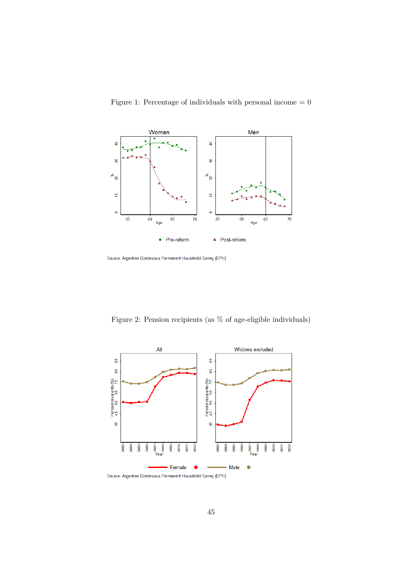

Figure 1: Percentage of individuals with personal income  $= 0$ 

Source: Argentine Continuous Permanent Household Survey (EPH)

Figure 2: Pension recipients (as % of age-eligible individuals)

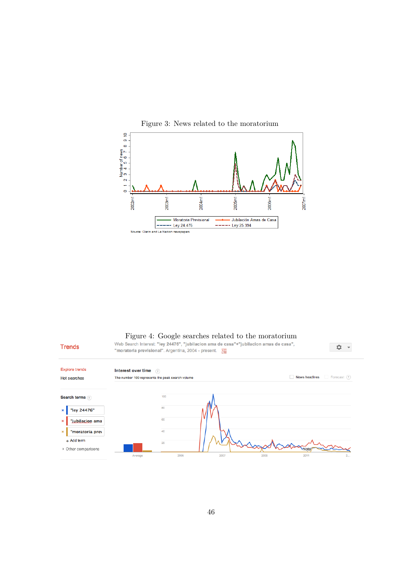



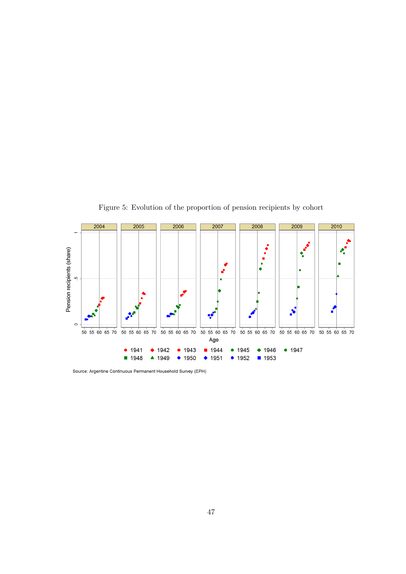

Figure 5: Evolution of the proportion of pension recipients by cohort

Source: Argentine Continuous Permanent Household Survey (EPH)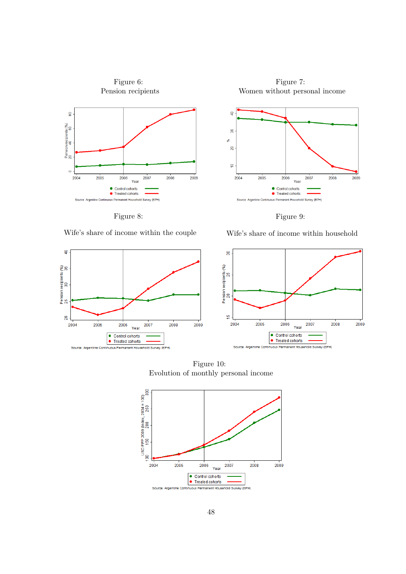

Figure 7: Women without personal income







 $\ddot{a}$ 

Pension recipients (%)<br>25<br>25

 $\overline{20}$ 

2004

2005

Figure 8:

Wife's share of income within household



Figure 10: Evolution of monthly personal income